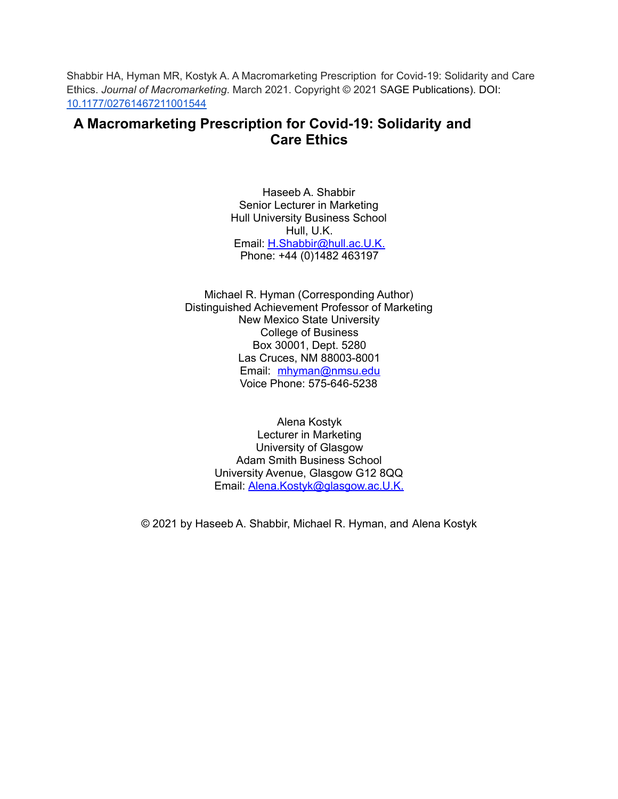Shabbir HA, Hyman MR, Kostyk A. A Macromarketing Prescription for Covid-19: Solidarity and Care Ethics. *Journal of Macromarketing*. March 2021. Copyright © 2021 SAGE Publications). DOI[:](https://doi.org/10.1177/02761467211001544) [10.1177/02761467211001544](https://doi.org/10.1177/02761467211001544)

# **A Macromarketing Prescription for Covid-19: Solidarity and Care Ethics**

Haseeb A. Shabbir Senior Lecturer in Marketing Hull University Business School Hull, U.K. Email: H.Shabbir@hull.ac.U.K. Phone: +44 (0)1482 463197

Michael R. Hyman (Corresponding Author) Distinguished Achievement Professor of Marketing New Mexico State University College of Business Box 30001, Dept. 5280 Las Cruces, NM 88003-8001 Email: [mhyman@nmsu.edu](mailto:mhyman@nmsu.edu) Voice Phone: 575-646-5238

> Alena Kostyk Lecturer in Marketing University of Glasgow Adam Smith Business School University Avenue, Glasgow G12 8QQ Email: Alena.Kostyk@glasgow.ac.U.K.

© 2021 by Haseeb A. Shabbir, Michael R. Hyman, and Alena Kostyk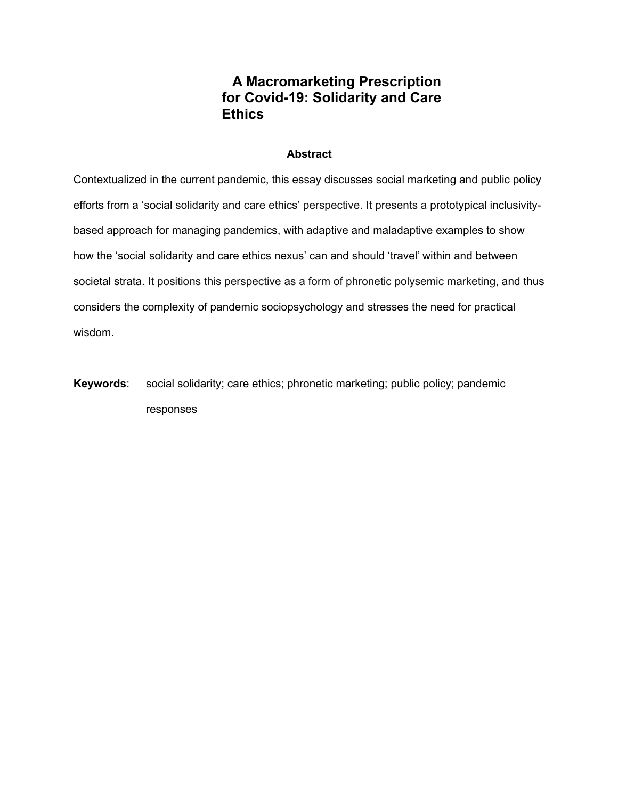# **A Macromarketing Prescription for Covid-19: Solidarity and Care Ethics**

## **Abstract**

Contextualized in the current pandemic, this essay discusses social marketing and public policy efforts from a 'social solidarity and care ethics' perspective. It presents a prototypical inclusivitybased approach for managing pandemics, with adaptive and maladaptive examples to show how the 'social solidarity and care ethics nexus' can and should 'travel' within and between societal strata. It positions this perspective as a form of phronetic polysemic marketing, and thus considers the complexity of pandemic sociopsychology and stresses the need for practical wisdom.

**Keywords**: social solidarity; care ethics; phronetic marketing; public policy; pandemic responses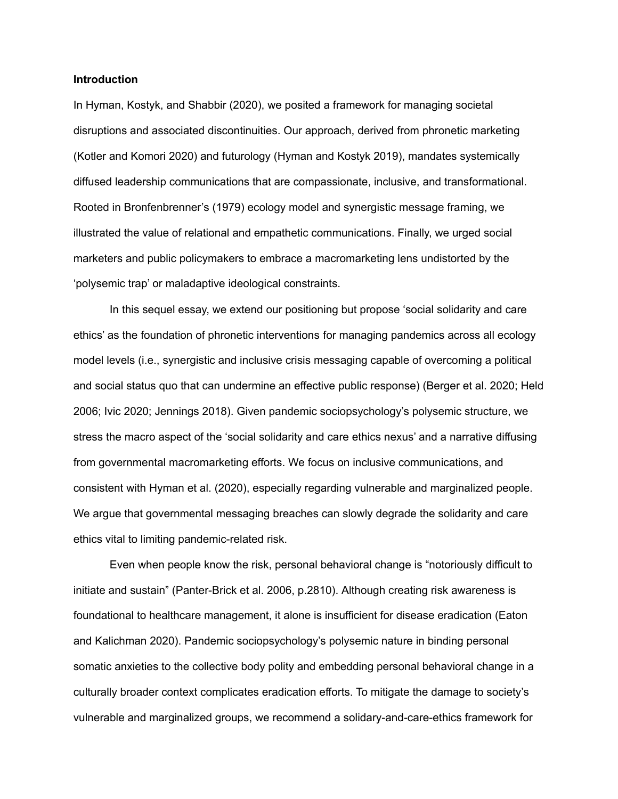### **Introduction**

In Hyman, Kostyk, and Shabbir (2020), we posited a framework for managing societal disruptions and associated discontinuities. Our approach, derived from phronetic marketing (Kotler and Komori 2020) and futurology (Hyman and Kostyk 2019), mandates systemically diffused leadership communications that are compassionate, inclusive, and transformational. Rooted in Bronfenbrenner's (1979) ecology model and synergistic message framing, we illustrated the value of relational and empathetic communications. Finally, we urged social marketers and public policymakers to embrace a macromarketing lens undistorted by the 'polysemic trap' or maladaptive ideological constraints.

In this sequel essay, we extend our positioning but propose 'social solidarity and care ethics' as the foundation of phronetic interventions for managing pandemics across all ecology model levels (i.e., synergistic and inclusive crisis messaging capable of overcoming a political and social status quo that can undermine an effective public response) (Berger et al. 2020; Held 2006; Ivic 2020; Jennings 2018). Given pandemic sociopsychology's polysemic structure, we stress the macro aspect of the 'social solidarity and care ethics nexus' and a narrative diffusing from governmental macromarketing efforts. We focus on inclusive communications, and consistent with Hyman et al. (2020), especially regarding vulnerable and marginalized people. We argue that governmental messaging breaches can slowly degrade the solidarity and care ethics vital to limiting pandemic-related risk.

Even when people know the risk, personal behavioral change is "notoriously difficult to initiate and sustain" (Panter-Brick et al. 2006, p.2810). Although creating risk awareness is foundational to healthcare management, it alone is insufficient for disease eradication (Eaton and Kalichman 2020). Pandemic sociopsychology's polysemic nature in binding personal somatic anxieties to the collective body polity and embedding personal behavioral change in a culturally broader context complicates eradication efforts. To mitigate the damage to society's vulnerable and marginalized groups, we recommend a solidary-and-care-ethics framework for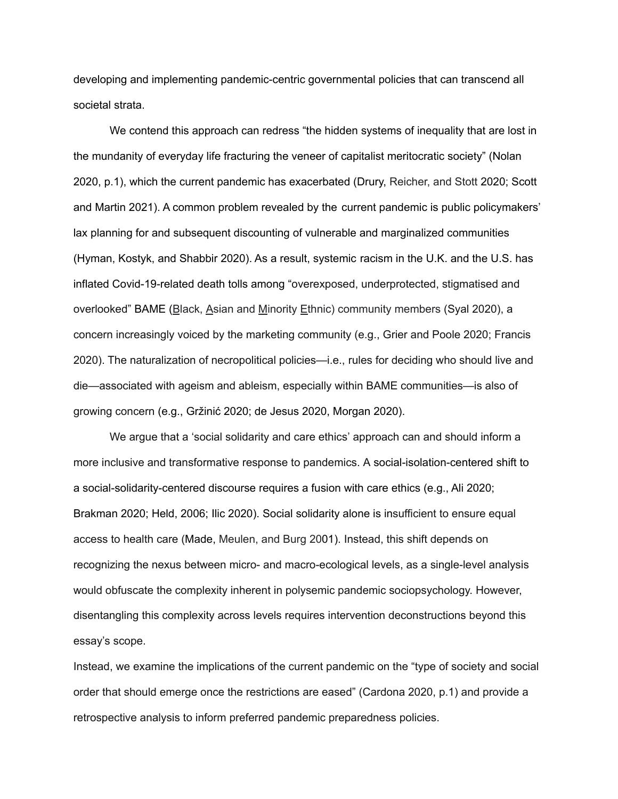developing and implementing pandemic-centric governmental policies that can transcend all societal strata.

We contend this approach can redress "the hidden systems of inequality that are lost in the mundanity of everyday life fracturing the veneer of capitalist meritocratic society" (Nolan 2020, p.1), which the current pandemic has exacerbated (Drury, Reicher, and Stott 2020; Scott and Martin 2021). A common problem revealed by the current pandemic is public policymakers' lax planning for and subsequent discounting of vulnerable and marginalized communities (Hyman, Kostyk, and Shabbir 2020). As a result, systemic racism in the U.K. and the U.S. has inflated Covid-19-related death tolls among "overexposed, underprotected, stigmatised and overlooked" BAME (Black, Asian and Minority Ethnic) community members (Syal 2020), a concern increasingly voiced by the marketing community (e.g., Grier and Poole 2020; Francis 2020). The naturalization of necropolitical policies—i.e., rules for deciding who should live and die—associated with ageism and ableism, especially within BAME communities—is also of growing concern (e.g., Gržinić 2020; de Jesus 2020, Morgan 2020).

We argue that a 'social solidarity and care ethics' approach can and should inform a more inclusive and transformative response to pandemics. A social-isolation-centered shift to a social-solidarity-centered discourse requires a fusion with care ethics (e.g., Ali 2020; Brakman 2020; Held, 2006; Ilic 2020). Social solidarity alone is insufficient to ensure equal access to health care (Made, Meulen, and Burg 2001). Instead, this shift depends on recognizing the nexus between micro- and macro-ecological levels, as a single-level analysis would obfuscate the complexity inherent in polysemic pandemic sociopsychology. However, disentangling this complexity across levels requires intervention deconstructions beyond this essay's scope.

Instead, we examine the implications of the current pandemic on the "type of society and social order that should emerge once the restrictions are eased" (Cardona 2020, p.1) and provide a retrospective analysis to inform preferred pandemic preparedness policies.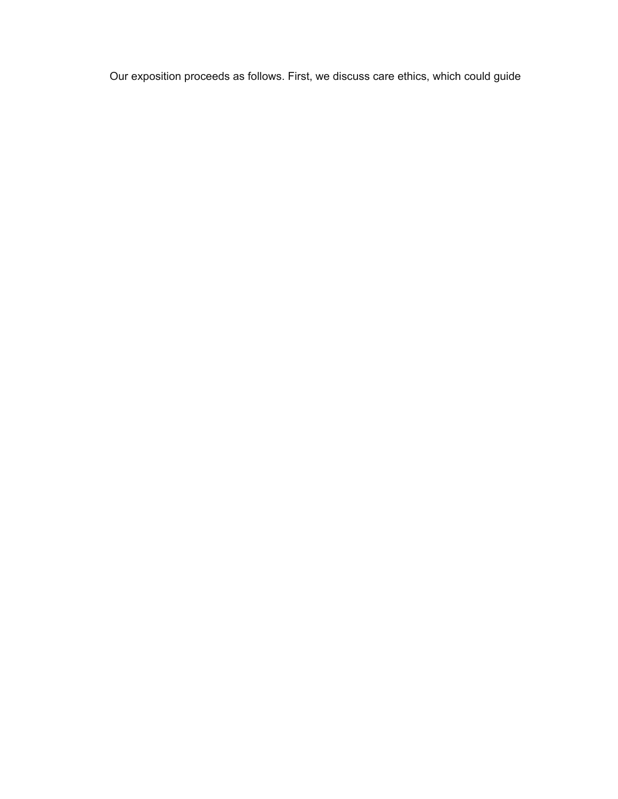Our exposition proceeds as follows. First, we discuss care ethics, which could guide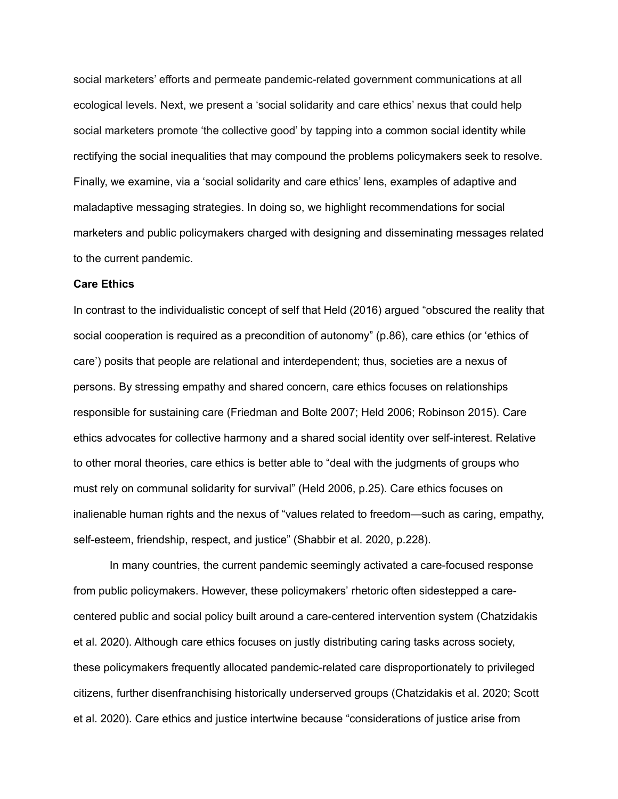social marketers' efforts and permeate pandemic-related government communications at all ecological levels. Next, we present a 'social solidarity and care ethics' nexus that could help social marketers promote 'the collective good' by tapping into a common social identity while rectifying the social inequalities that may compound the problems policymakers seek to resolve. Finally, we examine, via a 'social solidarity and care ethics' lens, examples of adaptive and maladaptive messaging strategies. In doing so, we highlight recommendations for social marketers and public policymakers charged with designing and disseminating messages related to the current pandemic.

## **Care Ethics**

In contrast to the individualistic concept of self that Held (2016) argued "obscured the reality that social cooperation is required as a precondition of autonomy" (p.86), care ethics (or 'ethics of care') posits that people are relational and interdependent; thus, societies are a nexus of persons. By stressing empathy and shared concern, care ethics focuses on relationships responsible for sustaining care (Friedman and Bolte 2007; Held 2006; Robinson 2015). Care ethics advocates for collective harmony and a shared social identity over self-interest. Relative to other moral theories, care ethics is better able to "deal with the judgments of groups who must rely on communal solidarity for survival" (Held 2006, p.25). Care ethics focuses on inalienable human rights and the nexus of "values related to freedom—such as caring, empathy, self-esteem, friendship, respect, and justice" (Shabbir et al. 2020, p.228).

In many countries, the current pandemic seemingly activated a care-focused response from public policymakers. However, these policymakers' rhetoric often sidestepped a carecentered public and social policy built around a care-centered intervention system (Chatzidakis et al. 2020). Although care ethics focuses on justly distributing caring tasks across society, these policymakers frequently allocated pandemic-related care disproportionately to privileged citizens, further disenfranchising historically underserved groups (Chatzidakis et al. 2020; Scott et al. 2020). Care ethics and justice intertwine because "considerations of justice arise from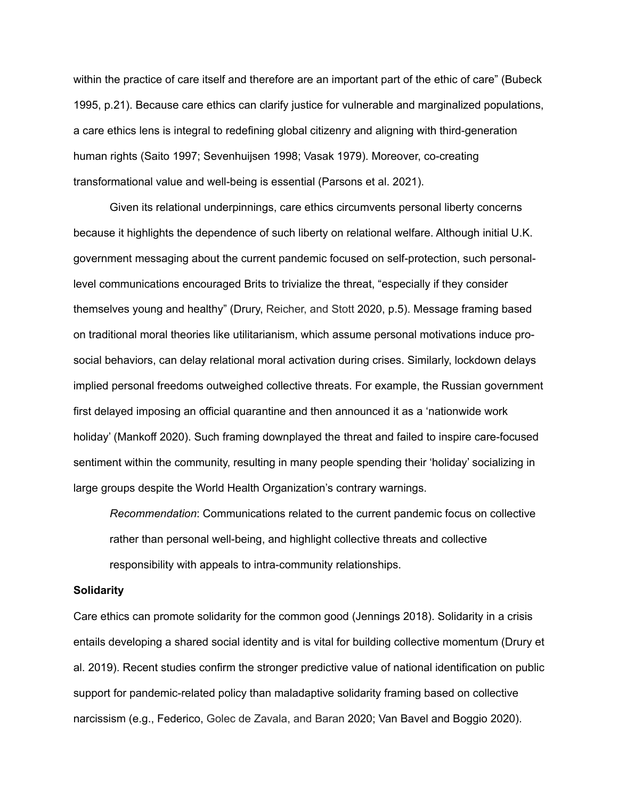within the practice of care itself and therefore are an important part of the ethic of care" (Bubeck 1995, p.21). Because care ethics can clarify justice for vulnerable and marginalized populations, a care ethics lens is integral to redefining global citizenry and aligning with third-generation human rights (Saito 1997; Sevenhuijsen 1998; Vasak 1979). Moreover, co-creating transformational value and well-being is essential (Parsons et al. 2021).

Given its relational underpinnings, care ethics circumvents personal liberty concerns because it highlights the dependence of such liberty on relational welfare. Although initial U.K. government messaging about the current pandemic focused on self-protection, such personallevel communications encouraged Brits to trivialize the threat, "especially if they consider themselves young and healthy" (Drury, Reicher, and Stott 2020, p.5). Message framing based on traditional moral theories like utilitarianism, which assume personal motivations induce prosocial behaviors, can delay relational moral activation during crises. Similarly, lockdown delays implied personal freedoms outweighed collective threats. For example, the Russian government first delayed imposing an official quarantine and then announced it as a 'nationwide work holiday' (Mankoff 2020). Such framing downplayed the threat and failed to inspire care-focused sentiment within the community, resulting in many people spending their 'holiday' socializing in large groups despite the World Health Organization's contrary warnings.

*Recommendation*: Communications related to the current pandemic focus on collective rather than personal well-being, and highlight collective threats and collective responsibility with appeals to intra-community relationships.

#### **Solidarity**

Care ethics can promote solidarity for the common good (Jennings 2018). Solidarity in a crisis entails developing a shared social identity and is vital for building collective momentum (Drury et al. 2019). Recent studies confirm the stronger predictive value of national identification on public support for pandemic-related policy than maladaptive solidarity framing based on collective narcissism (e.g., Federico, Golec de Zavala, and Baran 2020; Van Bavel and Boggio 2020).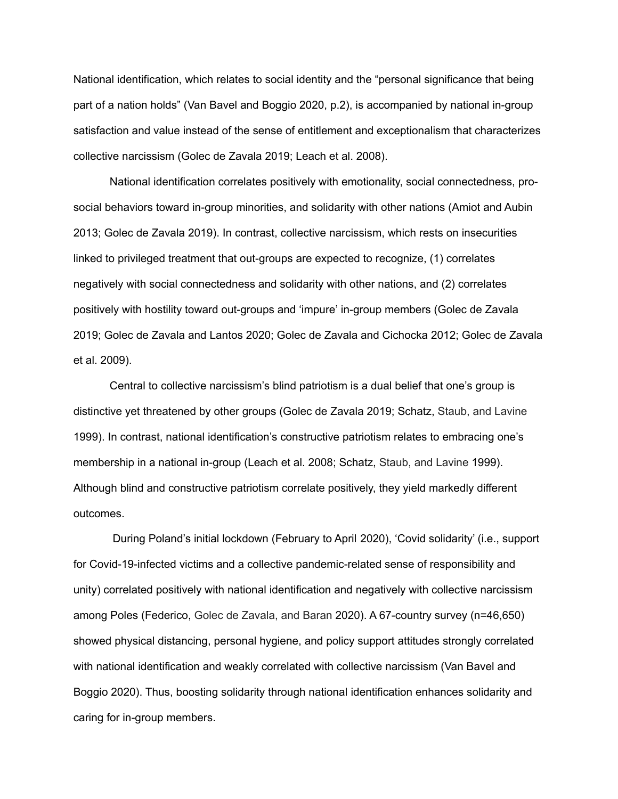National identification, which relates to social identity and the "personal significance that being part of a nation holds" (Van Bavel and Boggio 2020, p.2), is accompanied by national in-group satisfaction and value instead of the sense of entitlement and exceptionalism that characterizes collective narcissism (Golec de Zavala 2019; Leach et al. 2008).

National identification correlates positively with emotionality, social connectedness, prosocial behaviors toward in-group minorities, and solidarity with other nations (Amiot and Aubin 2013; Golec de Zavala 2019). In contrast, collective narcissism, which rests on insecurities linked to privileged treatment that out-groups are expected to recognize, (1) correlates negatively with social connectedness and solidarity with other nations, and (2) correlates positively with hostility toward out-groups and 'impure' in-group members (Golec de Zavala 2019; Golec de Zavala and Lantos 2020; Golec de Zavala and Cichocka 2012; Golec de Zavala et al. 2009).

Central to collective narcissism's blind patriotism is a dual belief that one's group is distinctive yet threatened by other groups (Golec de Zavala 2019; Schatz, Staub, and Lavine 1999). In contrast, national identification's constructive patriotism relates to embracing one's membership in a national in-group (Leach et al. 2008; Schatz, Staub, and Lavine 1999). Although blind and constructive patriotism correlate positively, they yield markedly different outcomes.

During Poland's initial lockdown (February to April 2020), 'Covid solidarity' (i.e., support for Covid-19-infected victims and a collective pandemic-related sense of responsibility and unity) correlated positively with national identification and negatively with collective narcissism among Poles (Federico, Golec de Zavala, and Baran 2020). A 67-country survey (n=46,650) showed physical distancing, personal hygiene, and policy support attitudes strongly correlated with national identification and weakly correlated with collective narcissism (Van Bavel and Boggio 2020). Thus, boosting solidarity through national identification enhances solidarity and caring for in-group members.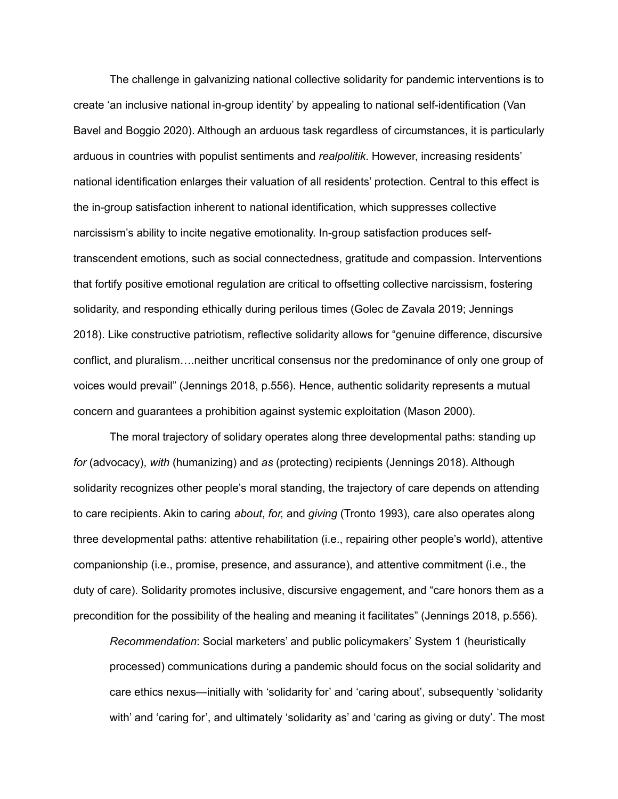The challenge in galvanizing national collective solidarity for pandemic interventions is to create 'an inclusive national in-group identity' by appealing to national self-identification (Van Bavel and Boggio 2020). Although an arduous task regardless of circumstances, it is particularly arduous in countries with populist sentiments and *realpolitik*. However, increasing residents' national identification enlarges their valuation of all residents' protection. Central to this effect is the in-group satisfaction inherent to national identification, which suppresses collective narcissism's ability to incite negative emotionality. In-group satisfaction produces selftranscendent emotions, such as social connectedness, gratitude and compassion. Interventions that fortify positive emotional regulation are critical to offsetting collective narcissism, fostering solidarity, and responding ethically during perilous times (Golec de Zavala 2019; Jennings 2018). Like constructive patriotism, reflective solidarity allows for "genuine difference, discursive conflict, and pluralism….neither uncritical consensus nor the predominance of only one group of voices would prevail" (Jennings 2018, p.556). Hence, authentic solidarity represents a mutual concern and guarantees a prohibition against systemic exploitation (Mason 2000).

The moral trajectory of solidary operates along three developmental paths: standing up *for* (advocacy), *with* (humanizing) and *as* (protecting) recipients (Jennings 2018). Although solidarity recognizes other people's moral standing, the trajectory of care depends on attending to care recipients. Akin to caring *about*, *for,* and *giving* (Tronto 1993), care also operates along three developmental paths: attentive rehabilitation (i.e., repairing other people's world), attentive companionship (i.e., promise, presence, and assurance), and attentive commitment (i.e., the duty of care). Solidarity promotes inclusive, discursive engagement, and "care honors them as a precondition for the possibility of the healing and meaning it facilitates" (Jennings 2018, p.556).

*Recommendation*: Social marketers' and public policymakers' System 1 (heuristically processed) communications during a pandemic should focus on the social solidarity and care ethics nexus—initially with 'solidarity for' and 'caring about', subsequently 'solidarity with' and 'caring for', and ultimately 'solidarity as' and 'caring as giving or duty'. The most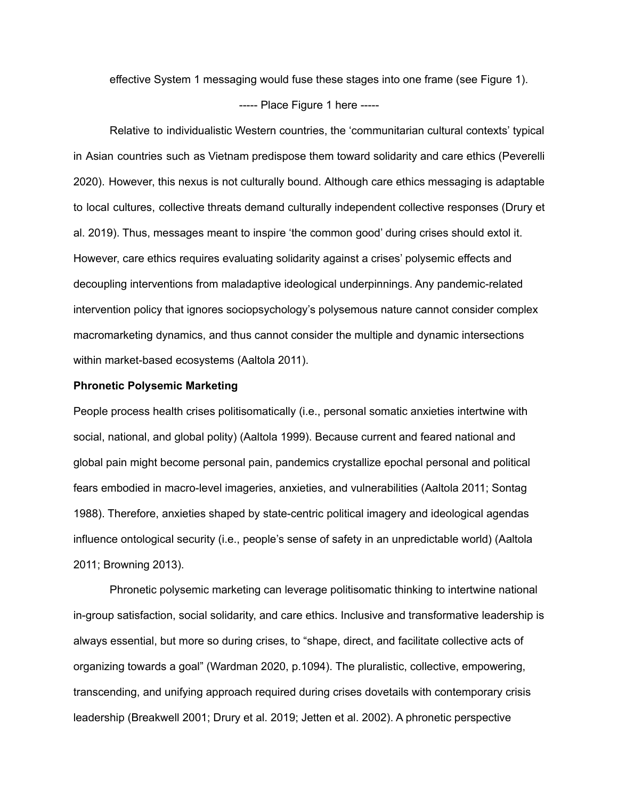effective System 1 messaging would fuse these stages into one frame (see Figure 1).

## ----- Place Figure 1 here -----

Relative to individualistic Western countries, the 'communitarian cultural contexts' typical in Asian countries such as Vietnam predispose them toward solidarity and care ethics (Peverelli 2020). However, this nexus is not culturally bound. Although care ethics messaging is adaptable to local cultures, collective threats demand culturally independent collective responses (Drury et al. 2019). Thus, messages meant to inspire 'the common good' during crises should extol it. However, care ethics requires evaluating solidarity against a crises' polysemic effects and decoupling interventions from maladaptive ideological underpinnings. Any pandemic-related intervention policy that ignores sociopsychology's polysemous nature cannot consider complex macromarketing dynamics, and thus cannot consider the multiple and dynamic intersections within market-based ecosystems (Aaltola 2011).

### **Phronetic Polysemic Marketing**

People process health crises politisomatically (i.e., personal somatic anxieties intertwine with social, national, and global polity) (Aaltola 1999). Because current and feared national and global pain might become personal pain, pandemics crystallize epochal personal and political fears embodied in macro-level imageries, anxieties, and vulnerabilities (Aaltola 2011; Sontag 1988). Therefore, anxieties shaped by state-centric political imagery and ideological agendas influence ontological security (i.e., people's sense of safety in an unpredictable world) (Aaltola 2011; Browning 2013).

Phronetic polysemic marketing can leverage politisomatic thinking to intertwine national in-group satisfaction, social solidarity, and care ethics. Inclusive and transformative leadership is always essential, but more so during crises, to "shape, direct, and facilitate collective acts of organizing towards a goal" (Wardman 2020, p.1094). The pluralistic, collective, empowering, transcending, and unifying approach required during crises dovetails with contemporary crisis leadership (Breakwell 2001; Drury et al. 2019; Jetten et al. 2002). A phronetic perspective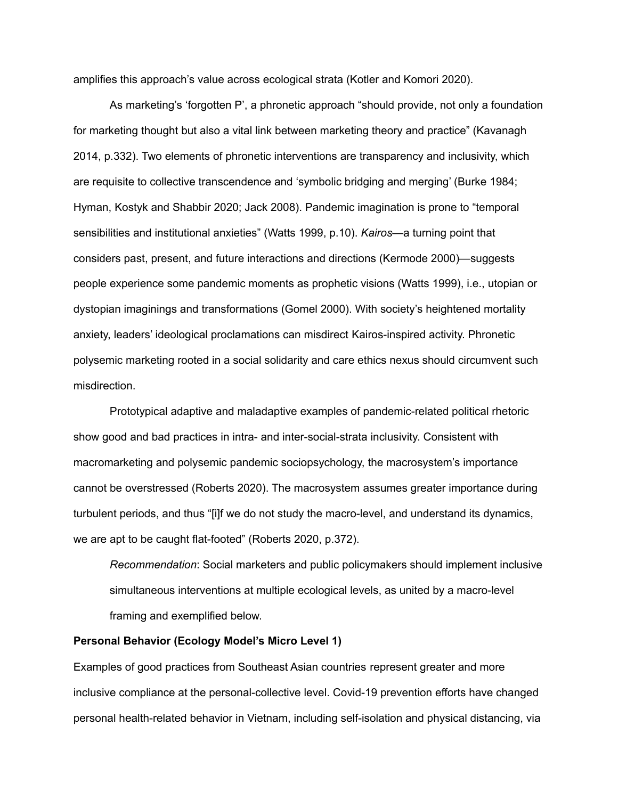amplifies this approach's value across ecological strata (Kotler and Komori 2020).

As marketing's 'forgotten P', a phronetic approach "should provide, not only a foundation for marketing thought but also a vital link between marketing theory and practice" (Kavanagh 2014, p.332). Two elements of phronetic interventions are transparency and inclusivity, which are requisite to collective transcendence and 'symbolic bridging and merging' (Burke 1984; Hyman, Kostyk and Shabbir 2020; Jack 2008). Pandemic imagination is prone to "temporal sensibilities and institutional anxieties" (Watts 1999, p.10). *Kairos*—a turning point that considers past, present, and future interactions and directions (Kermode 2000)—suggests people experience some pandemic moments as prophetic visions (Watts 1999), i.e., utopian or dystopian imaginings and transformations (Gomel 2000). With society's heightened mortality anxiety, leaders' ideological proclamations can misdirect Kairos-inspired activity. Phronetic polysemic marketing rooted in a social solidarity and care ethics nexus should circumvent such misdirection.

Prototypical adaptive and maladaptive examples of pandemic-related political rhetoric show good and bad practices in intra- and inter-social-strata inclusivity. Consistent with macromarketing and polysemic pandemic sociopsychology, the macrosystem's importance cannot be overstressed (Roberts 2020). The macrosystem assumes greater importance during turbulent periods, and thus "[i]f we do not study the macro-level, and understand its dynamics, we are apt to be caught flat-footed" (Roberts 2020, p.372).

*Recommendation*: Social marketers and public policymakers should implement inclusive simultaneous interventions at multiple ecological levels, as united by a macro-level framing and exemplified below.

## **Personal Behavior (Ecology Model's Micro Level 1)**

Examples of good practices from Southeast Asian countries represent greater and more inclusive compliance at the personal-collective level. Covid-19 prevention efforts have changed personal health-related behavior in Vietnam, including self-isolation and physical distancing, via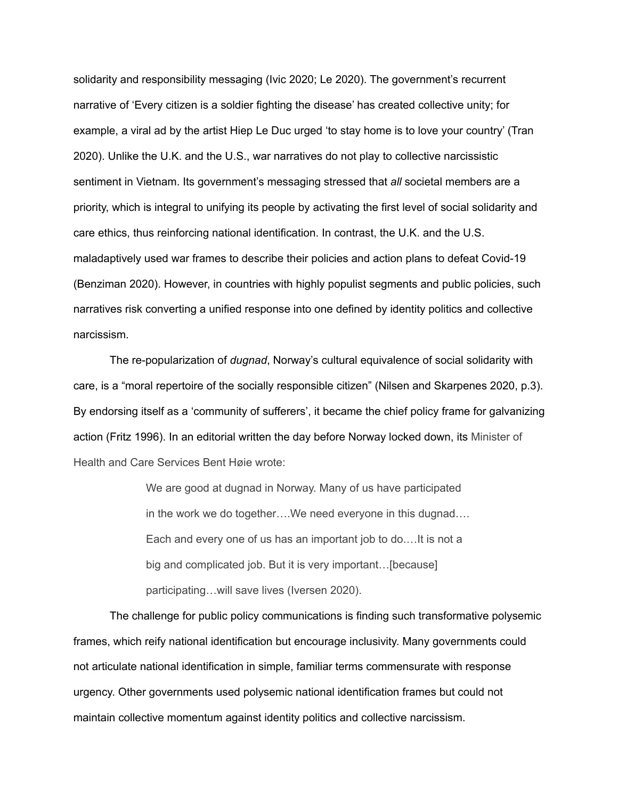solidarity and responsibility messaging (Ivic 2020; Le 2020). The government's recurrent narrative of 'Every citizen is a soldier fighting the disease' has created collective unity; for example, a viral ad by the artist Hiep Le Duc urged 'to stay home is to love your country' (Tran 2020). Unlike the U.K. and the U.S., war narratives do not play to collective narcissistic sentiment in Vietnam. Its government's messaging stressed that *all* societal members are a priority, which is integral to unifying its people by activating the first level of social solidarity and care ethics, thus reinforcing national identification. In contrast, the U.K. and the U.S. maladaptively used war frames to describe their policies and action plans to defeat Covid-19 (Benziman 2020). However, in countries with highly populist segments and public policies, such narratives risk converting a unified response into one defined by identity politics and collective narcissism.

The re-popularization of *dugnad*, Norway's cultural equivalence of social solidarity with care, is a "moral repertoire of the socially responsible citizen" (Nilsen and Skarpenes 2020, p.3). By endorsing itself as a 'community of sufferers', it became the chief policy frame for galvanizing action (Fritz 1996). In an editorial written the day before Norway locked down, its Minister of Health and Care Services Bent Høie wrote:

> We are good at dugnad in Norway. Many of us have participated in the work we do together….We need everyone in this dugnad…. Each and every one of us has an important job to do.…It is not a big and complicated job. But it is very important…[because] participating…will save lives (Iversen 2020).

The challenge for public policy communications is finding such transformative polysemic frames, which reify national identification but encourage inclusivity. Many governments could not articulate national identification in simple, familiar terms commensurate with response urgency. Other governments used polysemic national identification frames but could not maintain collective momentum against identity politics and collective narcissism.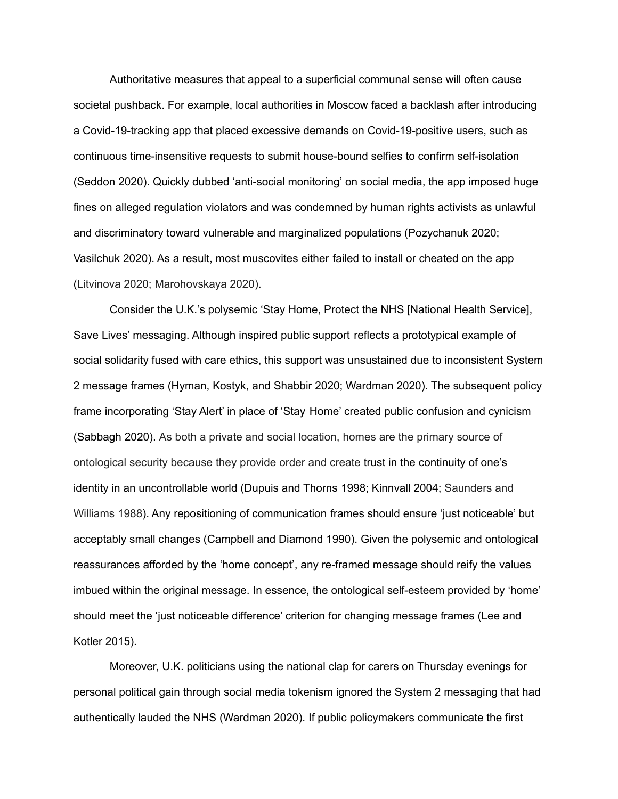Authoritative measures that appeal to a superficial communal sense will often cause societal pushback. For example, local authorities in Moscow faced a backlash after introducing a Covid-19-tracking app that placed excessive demands on Covid-19-positive users, such as continuous time-insensitive requests to submit house-bound selfies to confirm self-isolation (Seddon 2020). Quickly dubbed 'anti-social monitoring' on social media, the app imposed huge fines on alleged regulation violators and was condemned by human rights activists as unlawful and discriminatory toward vulnerable and marginalized populations (Pozychanuk 2020; Vasilchuk 2020). As a result, most muscovites either failed to install or cheated on the app (Litvinova 2020; Marohovskaya 2020).

Consider the U.K.'s polysemic 'Stay Home, Protect the NHS [National Health Service], Save Lives' messaging. Although inspired public support reflects a prototypical example of social solidarity fused with care ethics, this support was unsustained due to inconsistent System 2 message frames (Hyman, Kostyk, and Shabbir 2020; Wardman 2020). The subsequent policy frame incorporating 'Stay Alert' in place of 'Stay Home' created public confusion and cynicism (Sabbagh 2020). As both a private and social location, homes are the primary source of ontological security because they provide order and create trust in the continuity of one's identity in an uncontrollable world (Dupuis and Thorns 1998; Kinnvall 2004; Saunders and Williams 1988). Any repositioning of communication frames should ensure 'just noticeable' but acceptably small changes (Campbell and Diamond 1990). Given the polysemic and ontological reassurances afforded by the 'home concept', any re-framed message should reify the values imbued within the original message. In essence, the ontological self-esteem provided by 'home' should meet the 'just noticeable difference' criterion for changing message frames (Lee and Kotler 2015).

Moreover, U.K. politicians using the national clap for carers on Thursday evenings for personal political gain through social media tokenism ignored the System 2 messaging that had authentically lauded the NHS (Wardman 2020). If public policymakers communicate the first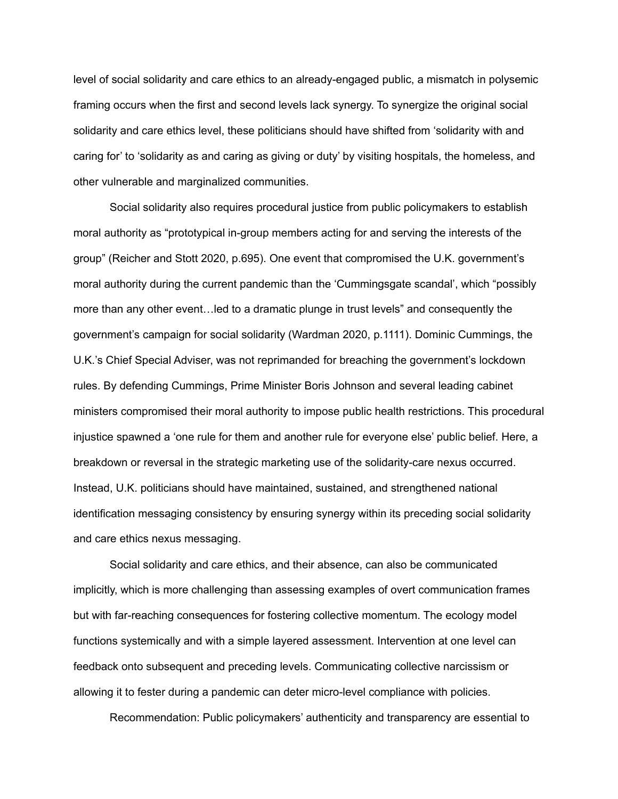level of social solidarity and care ethics to an already-engaged public, a mismatch in polysemic framing occurs when the first and second levels lack synergy. To synergize the original social solidarity and care ethics level, these politicians should have shifted from 'solidarity with and caring for' to 'solidarity as and caring as giving or duty' by visiting hospitals, the homeless, and other vulnerable and marginalized communities.

Social solidarity also requires procedural justice from public policymakers to establish moral authority as "prototypical in-group members acting for and serving the interests of the group" (Reicher and Stott 2020, p.695). One event that compromised the U.K. government's moral authority during the current pandemic than the 'Cummingsgate scandal', which "possibly more than any other event…led to a dramatic plunge in trust levels" and consequently the government's campaign for social solidarity (Wardman 2020, p.1111). Dominic Cummings, the U.K.'s Chief Special Adviser, was not reprimanded for breaching the government's lockdown rules. By defending Cummings, Prime Minister Boris Johnson and several leading cabinet ministers compromised their moral authority to impose public health restrictions. This procedural injustice spawned a 'one rule for them and another rule for everyone else' public belief. Here, a breakdown or reversal in the strategic marketing use of the solidarity-care nexus occurred. Instead, U.K. politicians should have maintained, sustained, and strengthened national identification messaging consistency by ensuring synergy within its preceding social solidarity and care ethics nexus messaging.

Social solidarity and care ethics, and their absence, can also be communicated implicitly, which is more challenging than assessing examples of overt communication frames but with far-reaching consequences for fostering collective momentum. The ecology model functions systemically and with a simple layered assessment. Intervention at one level can feedback onto subsequent and preceding levels. Communicating collective narcissism or allowing it to fester during a pandemic can deter micro-level compliance with policies.

Recommendation: Public policymakers' authenticity and transparency are essential to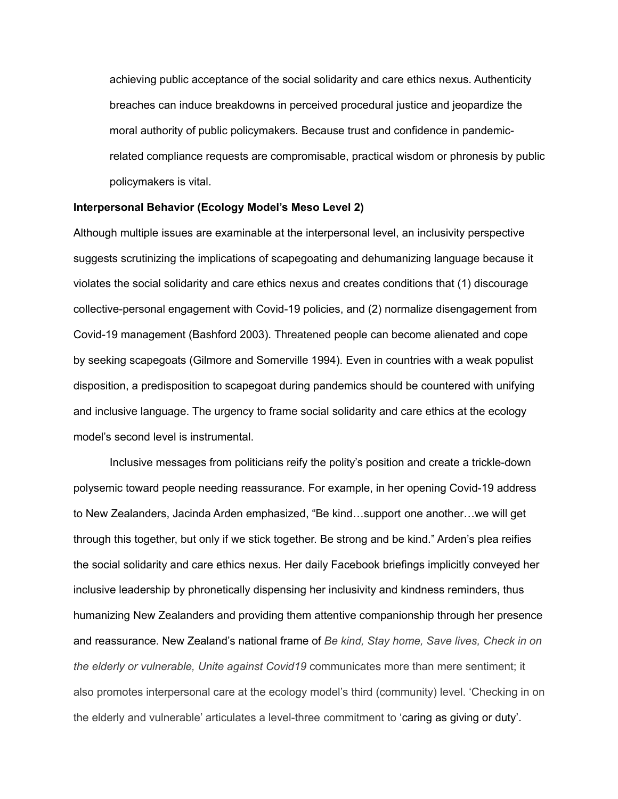achieving public acceptance of the social solidarity and care ethics nexus. Authenticity breaches can induce breakdowns in perceived procedural justice and jeopardize the moral authority of public policymakers. Because trust and confidence in pandemicrelated compliance requests are compromisable, practical wisdom or phronesis by public policymakers is vital.

#### **Interpersonal Behavior (Ecology Model's Meso Level 2)**

Although multiple issues are examinable at the interpersonal level, an inclusivity perspective suggests scrutinizing the implications of scapegoating and dehumanizing language because it violates the social solidarity and care ethics nexus and creates conditions that (1) discourage collective-personal engagement with Covid-19 policies, and (2) normalize disengagement from Covid-19 management (Bashford 2003). Threatened people can become alienated and cope by seeking scapegoats (Gilmore and Somerville 1994). Even in countries with a weak populist disposition, a predisposition to scapegoat during pandemics should be countered with unifying and inclusive language. The urgency to frame social solidarity and care ethics at the ecology model's second level is instrumental.

Inclusive messages from politicians reify the polity's position and create a trickle-down polysemic toward people needing reassurance. For example, in her opening Covid-19 address to New Zealanders, Jacinda Arden emphasized, "Be kind…support one another…we will get through this together, but only if we stick together. Be strong and be kind." Arden's plea reifies the social solidarity and care ethics nexus. Her daily Facebook briefings implicitly conveyed her inclusive leadership by phronetically dispensing her inclusivity and kindness reminders, thus humanizing New Zealanders and providing them attentive companionship through her presence and reassurance. New Zealand's national frame of *Be kind, Stay home, Save lives, Check in on the elderly or vulnerable, Unite against Covid19* communicates more than mere sentiment; it also promotes interpersonal care at the ecology model's third (community) level. 'Checking in on the elderly and vulnerable' articulates a level-three commitment to 'caring as giving or duty'.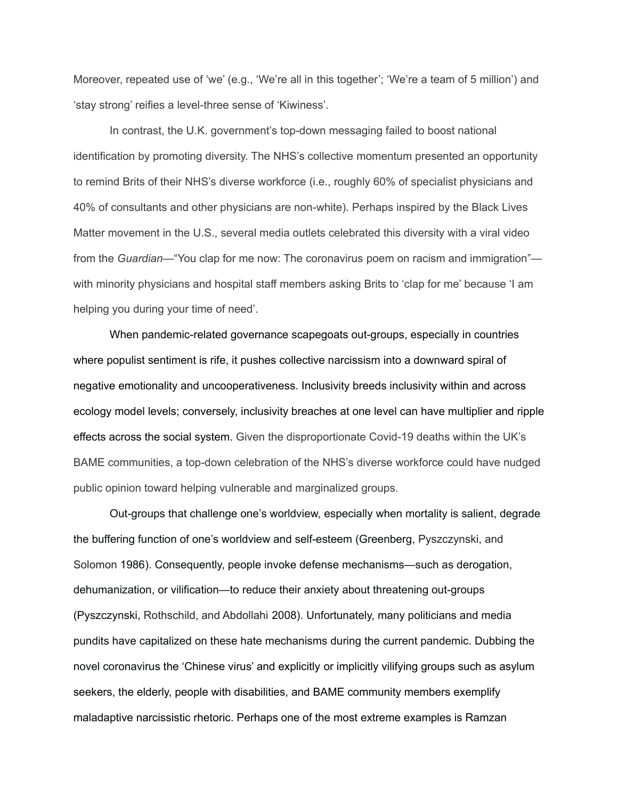Moreover, repeated use of 'we' (e.g., 'We're all in this together'; 'We're a team of 5 million') and 'stay strong' reifies a level-three sense of 'Kiwiness'.

In contrast, the U.K. government's top-down messaging failed to boost national identification by promoting diversity. The NHS's collective momentum presented an opportunity to remind Brits of their NHS's diverse workforce (i.e., roughly 60% of specialist physicians and 40% of consultants and other physicians are non-white). Perhaps inspired by the Black Lives Matter movement in the U.S., several media outlets celebrated this diversity with a viral video from the *Guardian*—"You clap for me now: The coronavirus poem on racism and immigration" with minority physicians and hospital staff members asking Brits to 'clap for me' because 'I am helping you during your time of need'.

When pandemic-related governance scapegoats out-groups, especially in countries where populist sentiment is rife, it pushes collective narcissism into a downward spiral of negative emotionality and uncooperativeness. Inclusivity breeds inclusivity within and across ecology model levels; conversely, inclusivity breaches at one level can have multiplier and ripple effects across the social system. Given the disproportionate Covid-19 deaths within the UK's BAME communities, a top-down celebration of the NHS's diverse workforce could have nudged public opinion toward helping vulnerable and marginalized groups.

Out-groups that challenge one's worldview, especially when mortality is salient, degrade the buffering function of one's worldview and self-esteem (Greenberg, Pyszczynski, and Solomon 1986). Consequently, people invoke defense mechanisms—such as derogation, dehumanization, or vilification—to reduce their anxiety about threatening out-groups (Pyszczynski, Rothschild, and Abdollahi 2008). Unfortunately, many politicians and media pundits have capitalized on these hate mechanisms during the current pandemic. Dubbing the novel coronavirus the 'Chinese virus' and explicitly or implicitly vilifying groups such as asylum seekers, the elderly, people with disabilities, and BAME community members exemplify maladaptive narcissistic rhetoric. Perhaps one of the most extreme examples is Ramzan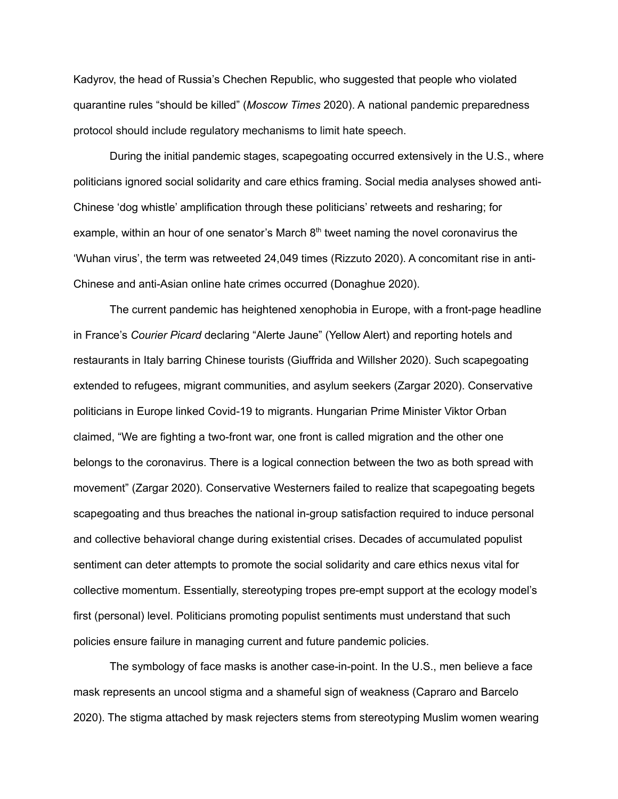Kadyrov, the head of Russia's Chechen Republic, who suggested that people who violated quarantine rules "should be killed" (*Moscow Times* 2020). A national pandemic preparedness protocol should include regulatory mechanisms to limit hate speech.

During the initial pandemic stages, scapegoating occurred extensively in the U.S., where politicians ignored social solidarity and care ethics framing. Social media analyses showed anti-Chinese 'dog whistle' amplification through these politicians' retweets and resharing; for example, within an hour of one senator's March 8<sup>th</sup> tweet naming the novel coronavirus the 'Wuhan virus', the term was retweeted 24,049 times (Rizzuto 2020). A concomitant rise in anti-Chinese and anti-Asian online hate crimes occurred (Donaghue 2020).

The current pandemic has heightened xenophobia in Europe, with a front-page headline in France's *Courier Picard* declaring "Alerte Jaune" (Yellow Alert) and reporting hotels and restaurants in Italy barring Chinese tourists (Giuffrida and Willsher 2020). Such scapegoating extended to refugees, migrant communities, and asylum seekers (Zargar 2020). Conservative politicians in Europe linked Covid-19 to migrants. Hungarian Prime Minister Viktor Orban claimed, "We are fighting a two-front war, one front is called migration and the other one belongs to the coronavirus. There is a logical connection between the two as both spread with movement" (Zargar 2020). Conservative Westerners failed to realize that scapegoating begets scapegoating and thus breaches the national in-group satisfaction required to induce personal and collective behavioral change during existential crises. Decades of accumulated populist sentiment can deter attempts to promote the social solidarity and care ethics nexus vital for collective momentum. Essentially, stereotyping tropes pre-empt support at the ecology model's first (personal) level. Politicians promoting populist sentiments must understand that such policies ensure failure in managing current and future pandemic policies.

The symbology of face masks is another case-in-point. In the U.S., men believe a face mask represents an uncool stigma and a shameful sign of weakness (Capraro and Barcelo 2020). The stigma attached by mask rejecters stems from stereotyping Muslim women wearing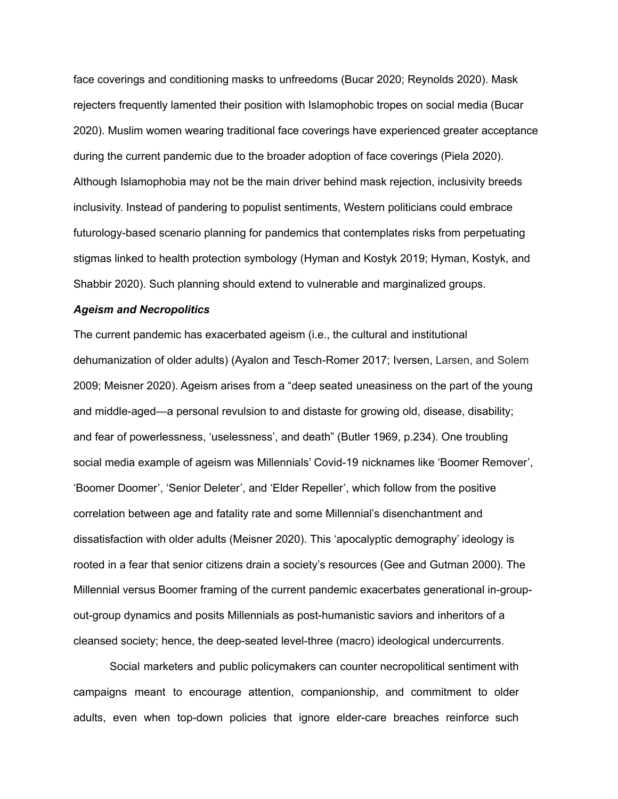face coverings and conditioning masks to unfreedoms (Bucar 2020; Reynolds 2020). Mask rejecters frequently lamented their position with Islamophobic tropes on social media (Bucar 2020). Muslim women wearing traditional face coverings have experienced greater acceptance during the current pandemic due to the broader adoption of face coverings (Piela 2020). Although Islamophobia may not be the main driver behind mask rejection, inclusivity breeds inclusivity. Instead of pandering to populist sentiments, Western politicians could embrace futurology-based scenario planning for pandemics that contemplates risks from perpetuating stigmas linked to health protection symbology (Hyman and Kostyk 2019; Hyman, Kostyk, and Shabbir 2020). Such planning should extend to vulnerable and marginalized groups.

#### *Ageism and Necropolitics*

The current pandemic has exacerbated ageism (i.e., the cultural and institutional dehumanization of older adults) (Ayalon and Tesch-Romer 2017; Iversen, Larsen, and Solem 2009; Meisner 2020). Ageism arises from a "deep seated uneasiness on the part of the young and middle-aged—a personal revulsion to and distaste for growing old, disease, disability; and fear of powerlessness, 'uselessness', and death" (Butler 1969, p.234). One troubling social media example of ageism was Millennials' Covid-19 nicknames like 'Boomer Remover', 'Boomer Doomer', 'Senior Deleter', and 'Elder Repeller', which follow from the positive correlation between age and fatality rate and some Millennial's disenchantment and dissatisfaction with older adults (Meisner 2020). This 'apocalyptic demography' ideology is rooted in a fear that senior citizens drain a society's resources (Gee and Gutman 2000). The Millennial versus Boomer framing of the current pandemic exacerbates generational in-groupout-group dynamics and posits Millennials as post-humanistic saviors and inheritors of a cleansed society; hence, the deep-seated level-three (macro) ideological undercurrents.

Social marketers and public policymakers can counter necropolitical sentiment with campaigns meant to encourage attention, companionship, and commitment to older adults, even when top-down policies that ignore elder-care breaches reinforce such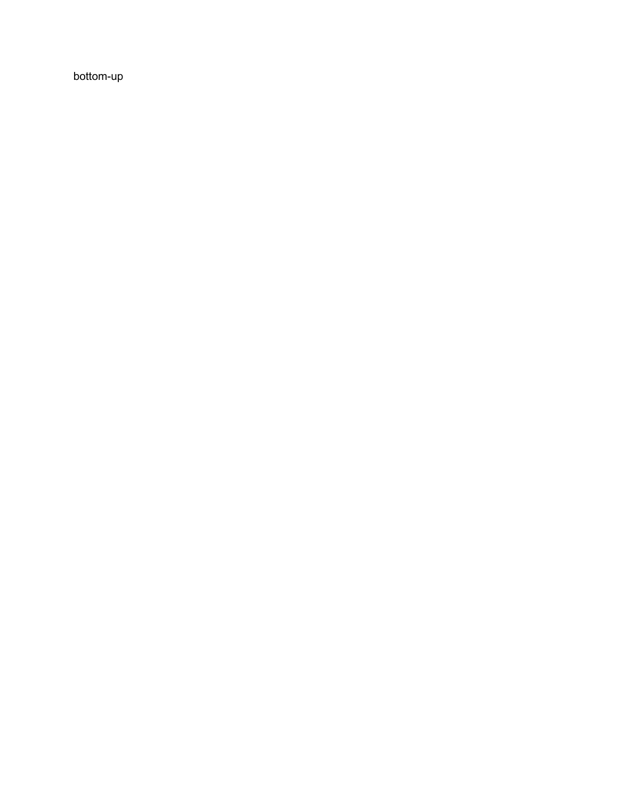bottom-up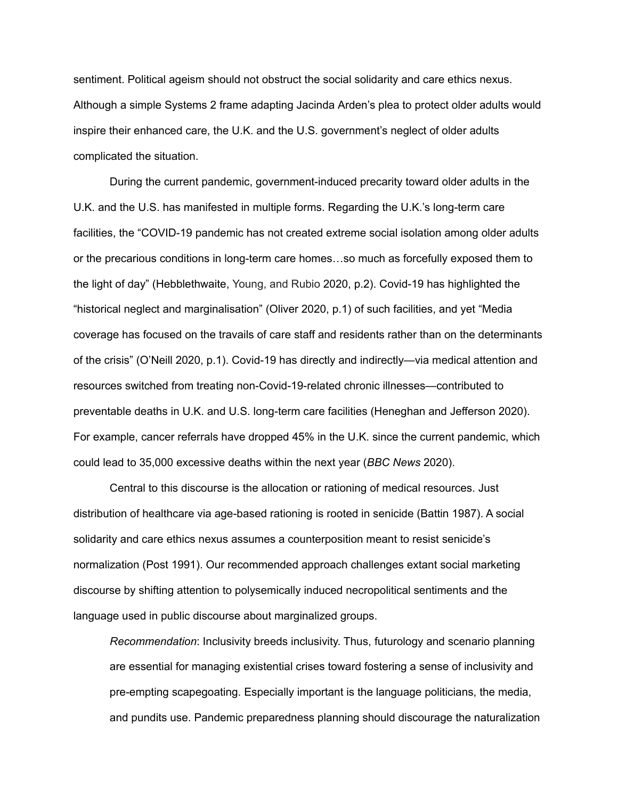sentiment. Political ageism should not obstruct the social solidarity and care ethics nexus. Although a simple Systems 2 frame adapting Jacinda Arden's plea to protect older adults would inspire their enhanced care, the U.K. and the U.S. government's neglect of older adults complicated the situation.

During the current pandemic, government-induced precarity toward older adults in the U.K. and the U.S. has manifested in multiple forms. Regarding the U.K.'s long-term care facilities, the "COVID-19 pandemic has not created extreme social isolation among older adults or the precarious conditions in long-term care homes…so much as forcefully exposed them to the light of day" (Hebblethwaite, Young, and Rubio 2020, p.2). Covid-19 has highlighted the "historical neglect and marginalisation" (Oliver 2020, p.1) of such facilities, and yet "Media coverage has focused on the travails of care staff and residents rather than on the determinants of the crisis" (O'Neill 2020, p.1). Covid-19 has directly and indirectly—via medical attention and resources switched from treating non-Covid-19-related chronic illnesses—contributed to preventable deaths in U.K. and U.S. long-term care facilities (Heneghan and Jefferson 2020). For example, cancer referrals have dropped 45% in the U.K. since the current pandemic, which could lead to 35,000 excessive deaths within the next year (*BBC News* 2020).

Central to this discourse is the allocation or rationing of medical resources. Just distribution of healthcare via age-based rationing is rooted in senicide (Battin 1987). A social solidarity and care ethics nexus assumes a counterposition meant to resist senicide's normalization (Post 1991). Our recommended approach challenges extant social marketing discourse by shifting attention to polysemically induced necropolitical sentiments and the language used in public discourse about marginalized groups.

*Recommendation*: Inclusivity breeds inclusivity. Thus, futurology and scenario planning are essential for managing existential crises toward fostering a sense of inclusivity and pre-empting scapegoating. Especially important is the language politicians, the media, and pundits use. Pandemic preparedness planning should discourage the naturalization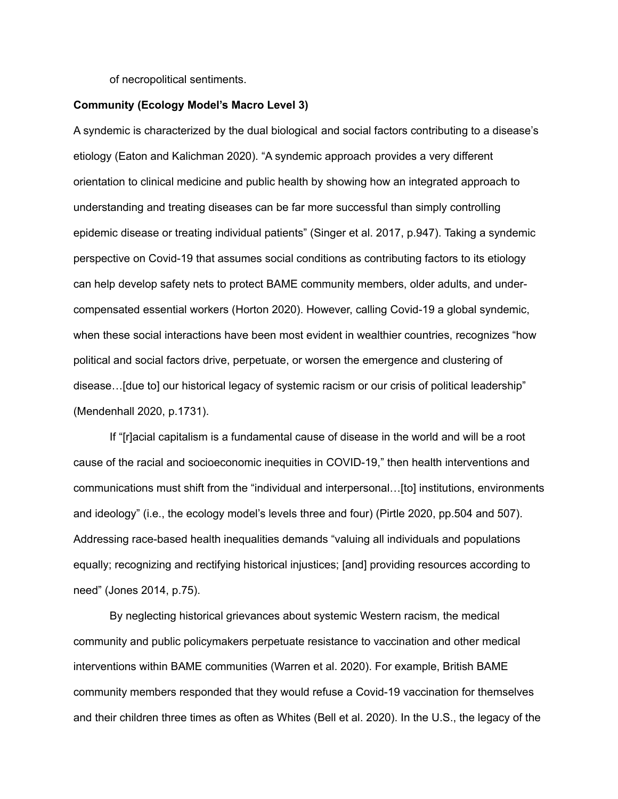of necropolitical sentiments.

## **Community (Ecology Model's Macro Level 3)**

A syndemic is characterized by the dual biological and social factors contributing to a disease's etiology (Eaton and Kalichman 2020). "A syndemic approach provides a very different orientation to clinical medicine and public health by showing how an integrated approach to understanding and treating diseases can be far more successful than simply controlling epidemic disease or treating individual patients" (Singer et al. 2017, p.947). Taking a syndemic perspective on Covid-19 that assumes social conditions as contributing factors to its etiology can help develop safety nets to protect BAME community members, older adults, and undercompensated essential workers (Horton 2020). However, calling Covid-19 a global syndemic, when these social interactions have been most evident in wealthier countries, recognizes "how political and social factors drive, perpetuate, or worsen the emergence and clustering of disease…[due to] our historical legacy of systemic racism or our crisis of political leadership" (Mendenhall 2020, p.1731).

If "[r]acial capitalism is a fundamental cause of disease in the world and will be a root cause of the racial and socioeconomic inequities in COVID-19," then health interventions and communications must shift from the "individual and interpersonal…[to] institutions, environments and ideology" (i.e., the ecology model's levels three and four) (Pirtle 2020, pp.504 and 507). Addressing race-based health inequalities demands "valuing all individuals and populations equally; recognizing and rectifying historical injustices; [and] providing resources according to need" (Jones 2014, p.75).

By neglecting historical grievances about systemic Western racism, the medical community and public policymakers perpetuate resistance to vaccination and other medical interventions within BAME communities (Warren et al. 2020). For example, British BAME community members responded that they would refuse a Covid-19 vaccination for themselves and their children three times as often as Whites (Bell et al. 2020). In the U.S., the legacy of the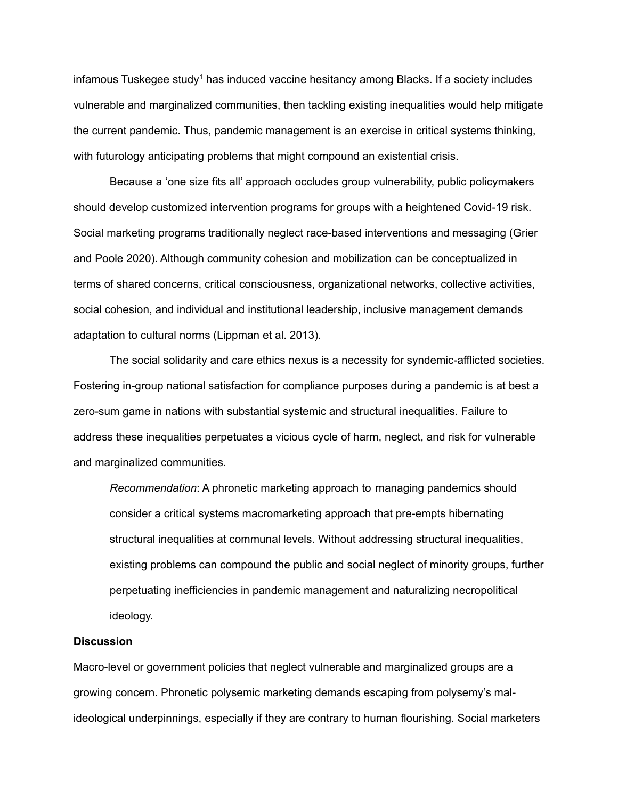infamous Tuskegee study<sup>1</sup> has induced vaccine hesitancy among Blacks. If a society includes vulnerable and marginalized communities, then tackling existing inequalities would help mitigate the current pandemic. Thus, pandemic management is an exercise in critical systems thinking, with futurology anticipating problems that might compound an existential crisis.

Because a 'one size fits all' approach occludes group vulnerability, public policymakers should develop customized intervention programs for groups with a heightened Covid-19 risk. Social marketing programs traditionally neglect race-based interventions and messaging (Grier and Poole 2020). Although community cohesion and mobilization can be conceptualized in terms of shared concerns, critical consciousness, organizational networks, collective activities, social cohesion, and individual and institutional leadership, inclusive management demands adaptation to cultural norms (Lippman et al. 2013).

The social solidarity and care ethics nexus is a necessity for syndemic-afflicted societies. Fostering in-group national satisfaction for compliance purposes during a pandemic is at best a zero-sum game in nations with substantial systemic and structural inequalities. Failure to address these inequalities perpetuates a vicious cycle of harm, neglect, and risk for vulnerable and marginalized communities.

*Recommendation*: A phronetic marketing approach to managing pandemics should consider a critical systems macromarketing approach that pre-empts hibernating structural inequalities at communal levels. Without addressing structural inequalities, existing problems can compound the public and social neglect of minority groups, further perpetuating inefficiencies in pandemic management and naturalizing necropolitical ideology.

## **Discussion**

Macro-level or government policies that neglect vulnerable and marginalized groups are a growing concern. Phronetic polysemic marketing demands escaping from polysemy's malideological underpinnings, especially if they are contrary to human flourishing. Social marketers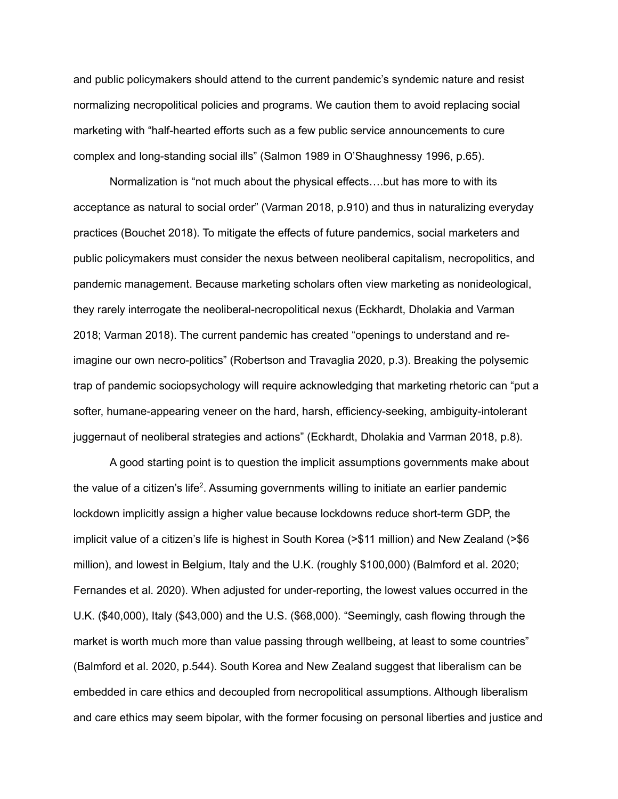and public policymakers should attend to the current pandemic's syndemic nature and resist normalizing necropolitical policies and programs. We caution them to avoid replacing social marketing with "half-hearted efforts such as a few public service announcements to cure complex and long-standing social ills" (Salmon 1989 in O'Shaughnessy 1996, p.65).

Normalization is "not much about the physical effects….but has more to with its acceptance as natural to social order" (Varman 2018, p.910) and thus in naturalizing everyday practices (Bouchet 2018). To mitigate the effects of future pandemics, social marketers and public policymakers must consider the nexus between neoliberal capitalism, necropolitics, and pandemic management. Because marketing scholars often view marketing as nonideological, they rarely interrogate the neoliberal-necropolitical nexus (Eckhardt, Dholakia and Varman 2018; Varman 2018). The current pandemic has created "openings to understand and reimagine our own necro-politics" (Robertson and Travaglia 2020, p.3). Breaking the polysemic trap of pandemic sociopsychology will require acknowledging that marketing rhetoric can "put a softer, humane-appearing veneer on the hard, harsh, efficiency-seeking, ambiguity-intolerant juggernaut of neoliberal strategies and actions" (Eckhardt, Dholakia and Varman 2018, p.8).

A good starting point is to question the implicit assumptions governments make about the value of a citizen's life<sup>2</sup>. Assuming governments willing to initiate an earlier pandemic lockdown implicitly assign a higher value because lockdowns reduce short-term GDP, the implicit value of a citizen's life is highest in South Korea (>\$11 million) and New Zealand (>\$6 million), and lowest in Belgium, Italy and the U.K. (roughly \$100,000) (Balmford et al. 2020; Fernandes et al. 2020). When adjusted for under-reporting, the lowest values occurred in the U.K. (\$40,000), Italy (\$43,000) and the U.S. (\$68,000). "Seemingly, cash flowing through the market is worth much more than value passing through wellbeing, at least to some countries" (Balmford et al. 2020, p.544). South Korea and New Zealand suggest that liberalism can be embedded in care ethics and decoupled from necropolitical assumptions. Although liberalism and care ethics may seem bipolar, with the former focusing on personal liberties and justice and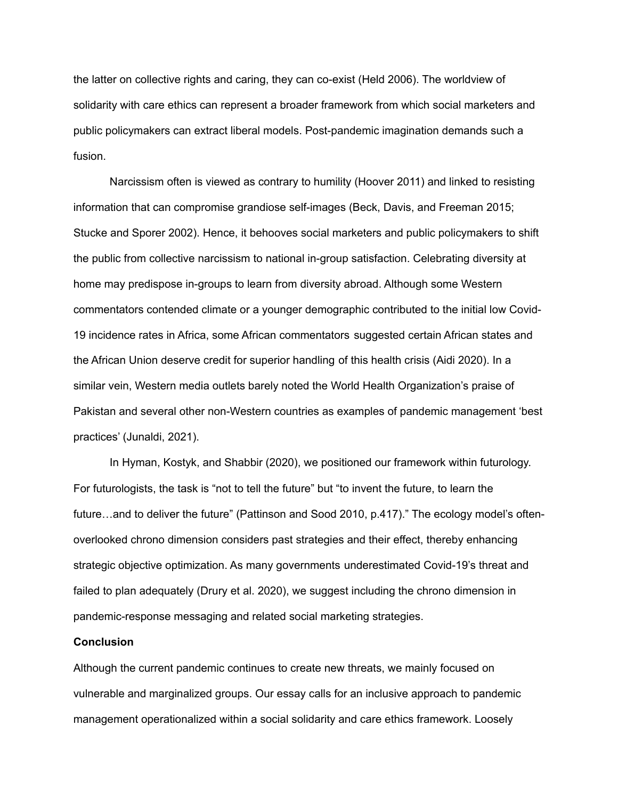the latter on collective rights and caring, they can co-exist (Held 2006). The worldview of solidarity with care ethics can represent a broader framework from which social marketers and public policymakers can extract liberal models. Post-pandemic imagination demands such a fusion.

Narcissism often is viewed as contrary to humility (Hoover 2011) and linked to resisting information that can compromise grandiose self-images (Beck, Davis, and Freeman 2015; Stucke and Sporer 2002). Hence, it behooves social marketers and public policymakers to shift the public from collective narcissism to national in-group satisfaction. Celebrating diversity at home may predispose in-groups to learn from diversity abroad. Although some Western commentators contended climate or a younger demographic contributed to the initial low Covid-19 incidence rates in Africa, some African commentators suggested certain African states and the African Union deserve credit for superior handling of this health crisis (Aidi 2020). In a similar vein, Western media outlets barely noted the World Health Organization's praise of Pakistan and several other non-Western countries as examples of pandemic management 'best practices' (Junaldi, 2021).

In Hyman, Kostyk, and Shabbir (2020), we positioned our framework within futurology. For futurologists, the task is "not to tell the future" but "to invent the future, to learn the future…and to deliver the future" (Pattinson and Sood 2010, p.417)." The ecology model's oftenoverlooked chrono dimension considers past strategies and their effect, thereby enhancing strategic objective optimization. As many governments underestimated Covid-19's threat and failed to plan adequately (Drury et al. 2020), we suggest including the chrono dimension in pandemic-response messaging and related social marketing strategies.

#### **Conclusion**

Although the current pandemic continues to create new threats, we mainly focused on vulnerable and marginalized groups. Our essay calls for an inclusive approach to pandemic management operationalized within a social solidarity and care ethics framework. Loosely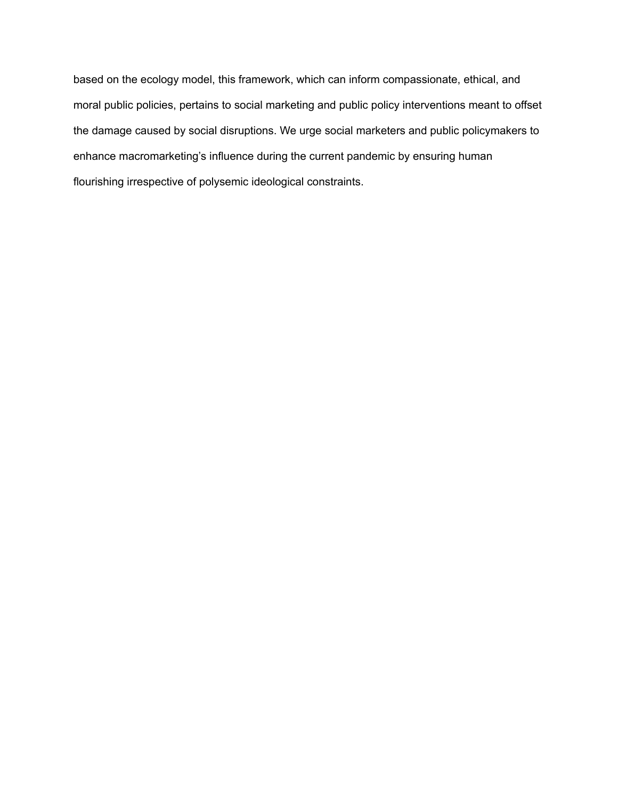based on the ecology model, this framework, which can inform compassionate, ethical, and moral public policies, pertains to social marketing and public policy interventions meant to offset the damage caused by social disruptions. We urge social marketers and public policymakers to enhance macromarketing's influence during the current pandemic by ensuring human flourishing irrespective of polysemic ideological constraints.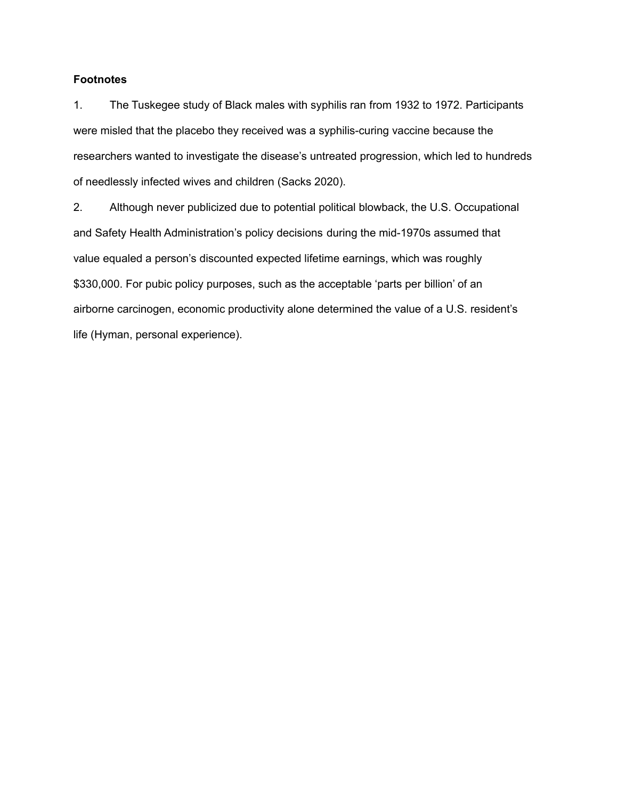# **Footnotes**

1. The Tuskegee study of Black males with syphilis ran from 1932 to 1972. Participants were misled that the placebo they received was a syphilis-curing vaccine because the researchers wanted to investigate the disease's untreated progression, which led to hundreds of needlessly infected wives and children (Sacks 2020).

2. Although never publicized due to potential political blowback, the U.S. Occupational and Safety Health Administration's policy decisions during the mid-1970s assumed that value equaled a person's discounted expected lifetime earnings, which was roughly \$330,000. For pubic policy purposes, such as the acceptable 'parts per billion' of an airborne carcinogen, economic productivity alone determined the value of a U.S. resident's life (Hyman, personal experience).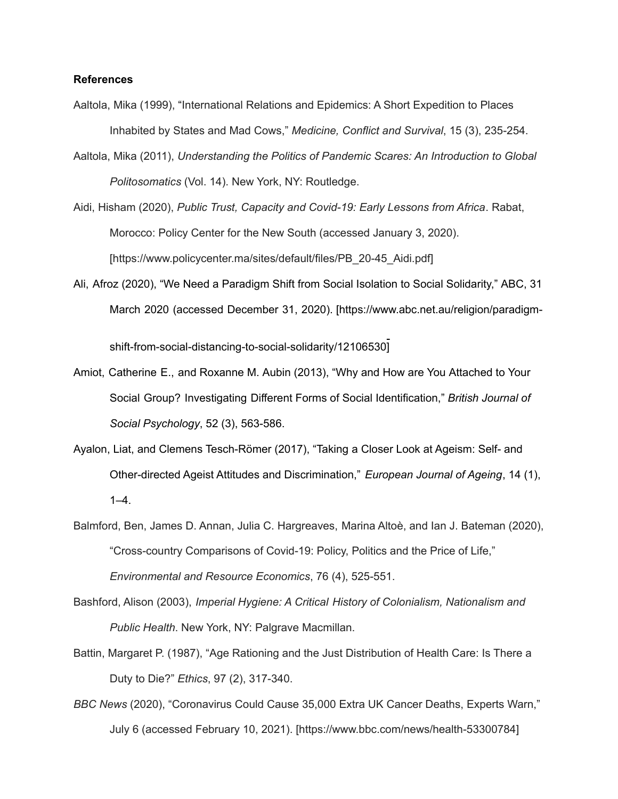## **References**

- Aaltola, Mika (1999), "International Relations and Epidemics: A Short Expedition to Places Inhabited by States and Mad Cows," *Medicine, Conflict and Survival*, 15 (3), 235-254.
- Aaltola, Mika (2011), *Understanding the Politics of Pandemic Scares: An Introduction to Global Politosomatics* (Vol. 14). New York, NY: Routledge.
- Aidi, Hisham (2020), *Public Trust, Capacity and Covid-19: Early Lessons from Africa*. Rabat, Morocco: Policy Center for the New South (accessed January 3, 2020). [https://[www.policycenter.ma/sites/default/files/PB\\_20-45\\_Aidi.pdf](http://www.policycenter.ma/sites/default/files/PB_20-45_Aidi.pdf)]
- Ali, Afroz (2020), "We Need a Paradigm Shift from Social Isolation to Social Solidarity," ABC, 31 March 2020 (accessed December 31, 2020). [https:/[/www.abc.net.au/religion/paradigm-](http://www.abc.net.au/religion/paradigm-)

shift-from-social-distancing-to-social-solidarity/12106530]

- Amiot, Catherine E., and Roxanne M. Aubin (2013), "Why and How are You Attached to Your Social Group? Investigating Different Forms of Social Identification," *British Journal of Social Psychology*, 52 (3), 563-586.
- Ayalon, Liat, and Clemens Tesch-Römer (2017), "Taking a Closer Look at Ageism: Self- and Other-directed Ageist Attitudes and Discrimination," *European Journal of Ageing*, 14 (1),  $1-4.$
- Balmford, Ben, James D. Annan, Julia C. Hargreaves, Marina Altoè, and Ian J. Bateman (2020), "Cross-country Comparisons of Covid-19: Policy, Politics and the Price of Life," *Environmental and Resource Economics*, 76 (4), 525-551.
- Bashford, Alison (2003), *Imperial Hygiene: A Critical History of Colonialism, Nationalism and Public Health*. New York, NY: Palgrave Macmillan.
- Battin, Margaret P. (1987), "Age Rationing and the Just Distribution of Health Care: Is There a Duty to Die?" *Ethics*, 97 (2), 317-340.
- *BBC News* (2020), "Coronavirus Could Cause 35,000 Extra UK Cancer Deaths, Experts Warn," July 6 (accessed February 10, 2021). [https:/[/www.bbc.com/news/health-53300784\]](http://www.bbc.com/news/health-53300784)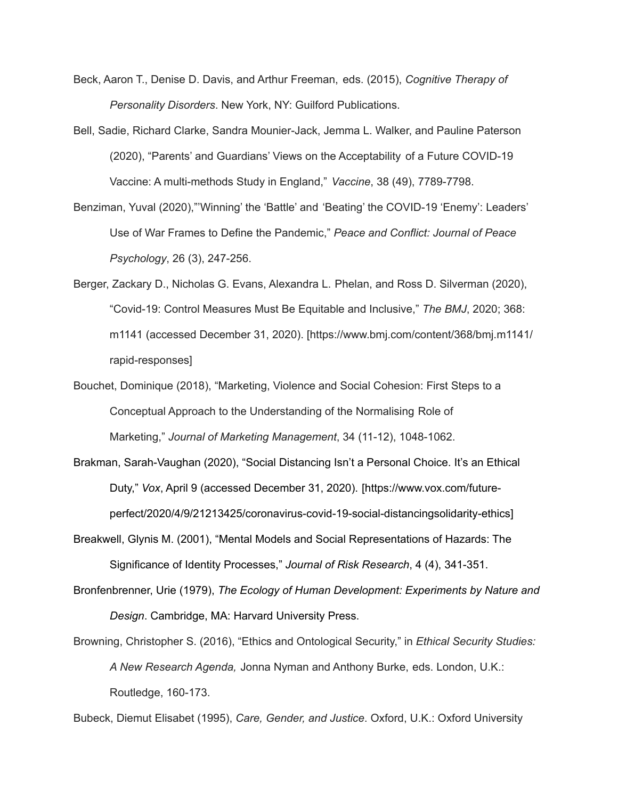- Beck, Aaron T., Denise D. Davis, and Arthur Freeman, eds. (2015), *Cognitive Therapy of Personality Disorders*. New York, NY: Guilford Publications.
- Bell, Sadie, Richard Clarke, Sandra Mounier-Jack, Jemma L. Walker, and Pauline Paterson (2020), "Parents' and Guardians' Views on the Acceptability of a Future COVID-19 Vaccine: A multi-methods Study in England," *Vaccine*, 38 (49), 7789-7798.
- Benziman, Yuval (2020),"'Winning' the 'Battle' and 'Beating' the COVID-19 'Enemy': Leaders' Use of War Frames to Define the Pandemic," *Peace and Conflict: Journal of Peace Psychology*, 26 (3), 247-256.
- Berger, Zackary D., Nicholas G. Evans, Alexandra L. Phelan, and Ross D. Silverman (2020), "Covid-19: Control Measures Must Be Equitable and Inclusive," *The BMJ*, 2020; 368: m1141 (accessed December 31, 2020). [https:/[/www.bmj.com/content/368/bmj.m1141/](http://www.bmj.com/content/368/bmj.m1141/) rapid-responses]
- Bouchet, Dominique (2018), "Marketing, Violence and Social Cohesion: First Steps to a Conceptual Approach to the Understanding of the Normalising Role of Marketing," *Journal of Marketing Management*, 34 (11-12), 1048-1062.
- Brakman, Sarah-Vaughan (2020), "Social Distancing Isn't a Personal Choice. It's an Ethical Duty," *Vox*, April 9 (accessed December 31, 2020). [https://[www.vox.com/future](http://www.vox.com/future-)perfect/2020/4/9/21213425/coronavirus-covid-19-social-distancingsolidarity-ethics]
- Breakwell, Glynis M. (2001), "Mental Models and Social Representations of Hazards: The Significance of Identity Processes," *Journal of Risk Research*, 4 (4), 341-351.
- Bronfenbrenner, Urie (1979), *The Ecology of Human Development: Experiments by Nature and Design*. Cambridge, MA: Harvard University Press.
- Browning, Christopher S. (2016), "Ethics and Ontological Security," in *Ethical Security Studies: A New Research Agenda,* Jonna Nyman and Anthony Burke, eds. London, U.K.: Routledge, 160-173.

Bubeck, Diemut Elisabet (1995), *Care, Gender, and Justice*. Oxford, U.K.: Oxford University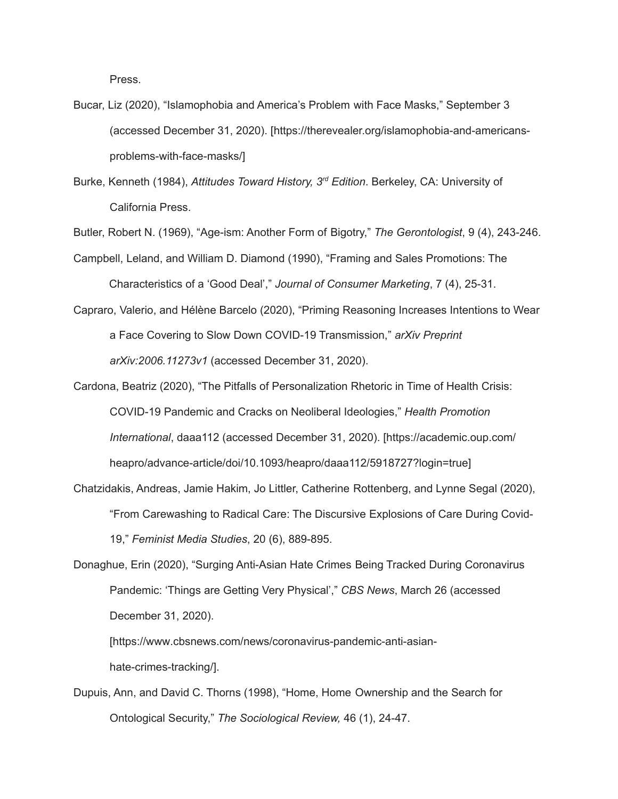Press.

Bucar, Liz (2020), "Islamophobia and America's Problem with Face Masks," September 3 (accessed December 31, 2020). [https://therevealer.org/islamophobia-and-americansproblems-with-face-masks/]

Burke, Kenneth (1984), *Attitudes Toward History, 3 rd Edition*. Berkeley, CA: University of California Press.

Butler, Robert N. (1969), "Age-ism: Another Form of Bigotry," *The Gerontologist*, 9 (4), 243-246.

Campbell, Leland, and William D. Diamond (1990), "Framing and Sales Promotions: The Characteristics of a 'Good Deal'," *Journal of Consumer Marketing*, 7 (4), 25-31.

- Capraro, Valerio, and Hélène Barcelo (2020), "Priming Reasoning Increases Intentions to Wear a Face Covering to Slow Down COVID-19 Transmission," *arXiv Preprint arXiv:2006.11273v1* (accessed December 31, 2020).
- Cardona, Beatriz (2020), "The Pitfalls of Personalization Rhetoric in Time of Health Crisis: COVID-19 Pandemic and Cracks on Neoliberal Ideologies," *Health Promotion International*, daaa112 (accessed December 31, 2020). [https://academic.oup.com/ heapro/advance-article/doi/10.1093/heapro/daaa112/5918727?login=true]
- Chatzidakis, Andreas, Jamie Hakim, Jo Littler, Catherine Rottenberg, and Lynne Segal (2020), "From Carewashing to Radical Care: The Discursive Explosions of Care During Covid-19," *Feminist Media Studies*, 20 (6), 889-895.

Donaghue, Erin (2020), "Surging Anti-Asian Hate Crimes Being Tracked During Coronavirus Pandemic: 'Things are Getting Very Physical'," *CBS News*, March 26 (accessed December 31, 2020).

[https[://ww](http://www.cbsnews.com/news/coronavirus-pandemic-anti-asian-)w[.cbsnews.com/news/coronavirus-pandemic-anti-asian](http://www.cbsnews.com/news/coronavirus-pandemic-anti-asian-)hate-crimes-tracking/].

Dupuis, Ann, and David C. Thorns (1998), "Home, Home Ownership and the Search for Ontological Security," *The Sociological Review,* 46 (1), 24-47.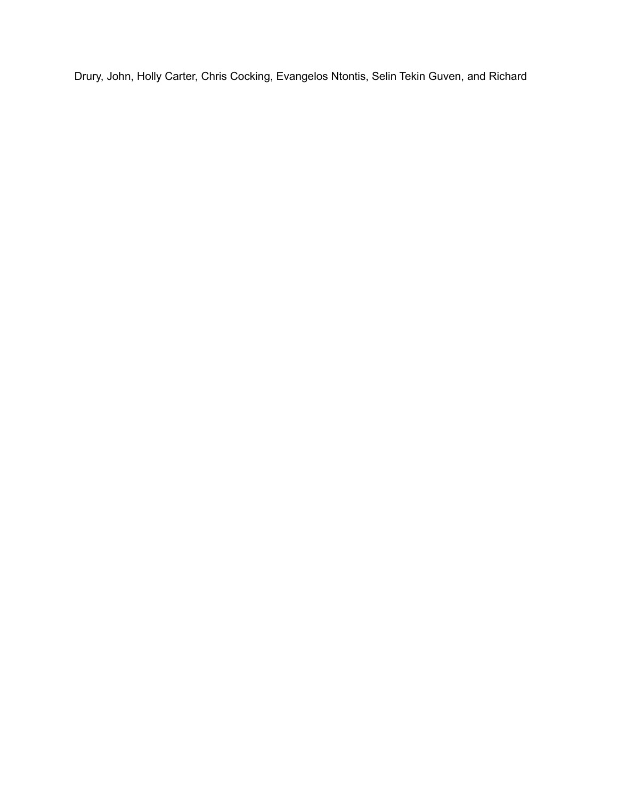Drury, John, Holly Carter, Chris Cocking, Evangelos Ntontis, Selin Tekin Guven, and Richard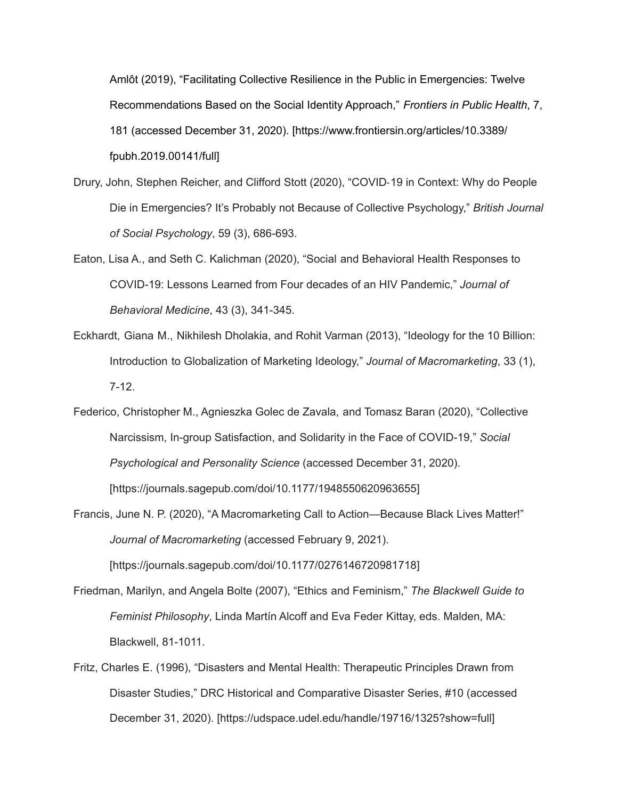Amlôt (2019), "Facilitating Collective Resilience in the Public in Emergencies: Twelve Recommendations Based on the Social Identity Approach," *Frontiers in Public Health*, 7, 181 (accessed December 31, 2020). [https://[www.frontiersin.org/articles/10.3389/](http://www.frontiersin.org/articles/10.3389/) fpubh.2019.00141/full]

- Drury, John, Stephen Reicher, and Clifford Stott (2020), "COVID-19 in Context: Why do People Die in Emergencies? It's Probably not Because of Collective Psychology," *British Journal of Social Psychology*, 59 (3), 686-693.
- Eaton, Lisa A., and Seth C. Kalichman (2020), "Social and Behavioral Health Responses to COVID-19: Lessons Learned from Four decades of an HIV Pandemic," *Journal of Behavioral Medicine*, 43 (3), 341-345.
- Eckhardt, Giana M., Nikhilesh Dholakia, and Rohit Varman (2013), "Ideology for the 10 Billion: Introduction to Globalization of Marketing Ideology," *Journal of Macromarketing*, 33 (1), 7-12.
- Federico, Christopher M., Agnieszka Golec de Zavala, and Tomasz Baran (2020), "Collective Narcissism, In-group Satisfaction, and Solidarity in the Face of COVID-19," *Social Psychological and Personality Science* (accessed December 31, 2020). [https://journals.sagepub.com/doi/10.1177/1948550620963655]
- Francis, June N. P. (2020), "A Macromarketing Call to Action—Because Black Lives Matter!" *Journal of Macromarketing* (accessed February 9, 2021).

[https://journals.sagepub.com/doi/10.1177/0276146720981718]

- Friedman, Marilyn, and Angela Bolte (2007), "Ethics and Feminism," *The Blackwell Guide to Feminist Philosophy*, Linda Martín Alcoff and Eva Feder Kittay, eds. Malden, MA: Blackwell, 81-1011.
- Fritz, Charles E. (1996), "Disasters and Mental Health: Therapeutic Principles Drawn from Disaster Studies," DRC Historical and Comparative Disaster Series, #10 (accessed December 31, 2020). [https://udspace.udel.edu/handle/19716/1325?show=full]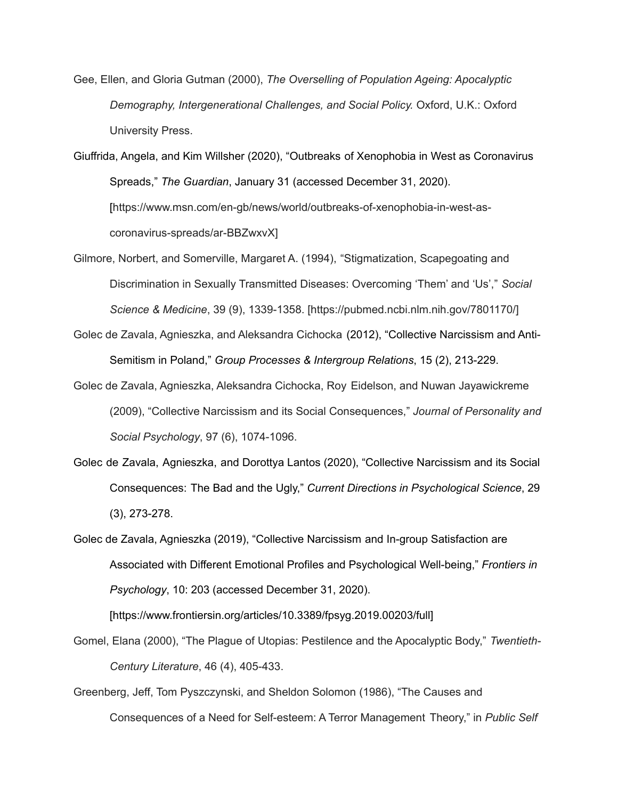Gee, Ellen, and Gloria Gutman (2000), *The Overselling of Population Ageing: Apocalyptic Demography, Intergenerational Challenges, and Social Policy.* Oxford, U.K.: Oxford University Press.

Giuffrida, Angela, and Kim Willsher (2020), "Outbreaks of Xenophobia in West as Coronavirus Spreads," *The Guardian*, January 31 (accessed December 31, 2020). [https://[www.msn.com/en-gb/news/world/outbreaks-of-xenophobia-in-west-as](http://www.msn.com/en-gb/news/world/outbreaks-of-xenophobia-in-west-as-)coronavirus-spreads/ar-BBZwxvX]

- Gilmore, Norbert, and Somerville, Margaret A. (1994), "Stigmatization, Scapegoating and Discrimination in Sexually Transmitted Diseases: Overcoming 'Them' and 'Us'," *Social Science & Medicine*, 39 (9), 1339-1358. [https://pubmed.ncbi.nlm.nih.gov/7801170/]
- Golec de Zavala, Agnieszka, and Aleksandra Cichocka (2012), "Collective Narcissism and Anti-Semitism in Poland," *Group Processes & Intergroup Relations*, 15 (2), 213-229.
- Golec de Zavala, Agnieszka, Aleksandra Cichocka, Roy Eidelson, and Nuwan Jayawickreme (2009), "Collective Narcissism and its Social Consequences," *Journal of Personality and Social Psychology*, 97 (6), 1074-1096.
- Golec de Zavala, Agnieszka, and Dorottya Lantos (2020), "Collective Narcissism and its Social Consequences: The Bad and the Ugly," *Current Directions in Psychological Science*, 29 (3), 273-278.
- Golec de Zavala, Agnieszka (2019), "Collective Narcissism and In-group Satisfaction are Associated with Different Emotional Profiles and Psychological Well-being," *Frontiers in Psychology*, 10: 203 (accessed December 31, 2020).

[https://[www.frontiersin.org/articles/10.3389/fpsyg.2019.00203/full](http://www.frontiersin.org/articles/10.3389/fpsyg.2019.00203/full)]

- Gomel, Elana (2000), "The Plague of Utopias: Pestilence and the Apocalyptic Body," *Twentieth-Century Literature*, 46 (4), 405-433.
- Greenberg, Jeff, Tom Pyszczynski, and Sheldon Solomon (1986), "The Causes and Consequences of a Need for Self-esteem: A Terror Management Theory," in *Public Self*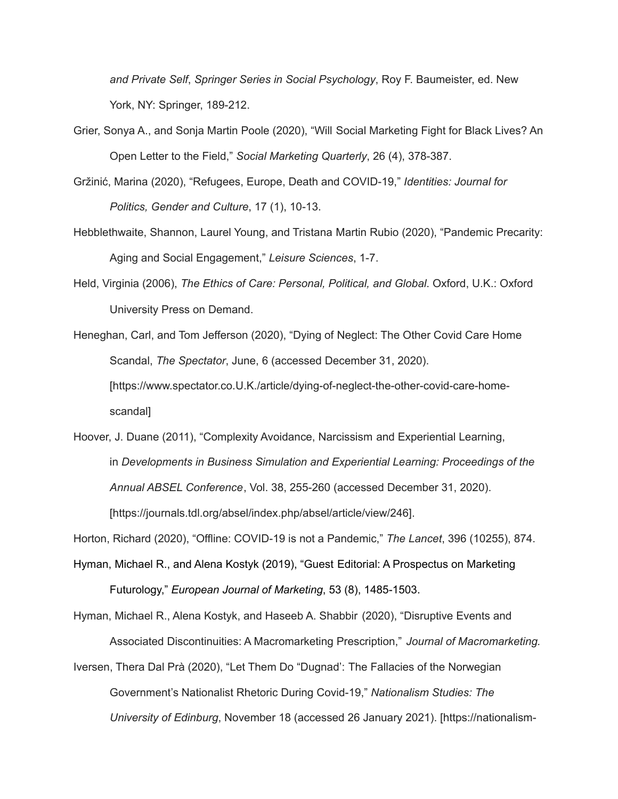*and Private Self*, *Springer Series in Social Psychology*, Roy F. Baumeister, ed. New York, NY: Springer, 189-212.

- Grier, Sonya A., and Sonja Martin Poole (2020), "Will Social Marketing Fight for Black Lives? An Open Letter to the Field," *Social Marketing Quarterly*, 26 (4), 378-387.
- Gržinić, Marina (2020), "Refugees, Europe, Death and COVID-19," *Identities: Journal for Politics, Gender and Culture*, 17 (1), 10-13.
- Hebblethwaite, Shannon, Laurel Young, and Tristana Martin Rubio (2020), "Pandemic Precarity: Aging and Social Engagement," *Leisure Sciences*, 1-7.
- Held, Virginia (2006), *The Ethics of Care: Personal, Political, and Global*. Oxford, U.K.: Oxford University Press on Demand.

Heneghan, Carl, and Tom Jefferson (2020), "Dying of Neglect: The Other Covid Care Home Scandal, *The Spectator*, June, 6 (accessed December 31, 2020). [https://[www.spectator.co.U.K./article/dying-of-neglect-the-other-covid-care-home](http://www.spectator.co.u.k./article/dying-of-neglect-the-other-covid-care-home-)scandal]

Hoover, J. Duane (2011), "Complexity Avoidance, Narcissism and Experiential Learning, in *Developments in Business Simulation and Experiential Learning: Proceedings of the Annual ABSEL Conference*, Vol. 38, 255-260 (accessed December 31, 2020). [https://journals.tdl.org/absel/index.php/absel/article/view/246].

Horton, Richard (2020), "Offline: COVID-19 is not a Pandemic," *The Lancet*, 396 (10255), 874.

Hyman, Michael R., and Alena Kostyk (2019), "Guest Editorial: A Prospectus on Marketing Futurology," *European Journal of Marketing*, 53 (8), 1485-1503.

Hyman, Michael R., Alena Kostyk, and Haseeb A. Shabbir (2020), "Disruptive Events and Associated Discontinuities: A Macromarketing Prescription," *Journal of Macromarketing.* Iversen, Thera Dal Prà (2020), "Let Them Do "Dugnad': The Fallacies of the Norwegian Government's Nationalist Rhetoric During Covid-19," *Nationalism Studies: The University of Edinburg*, November 18 (accessed 26 January 2021). [https://nationalism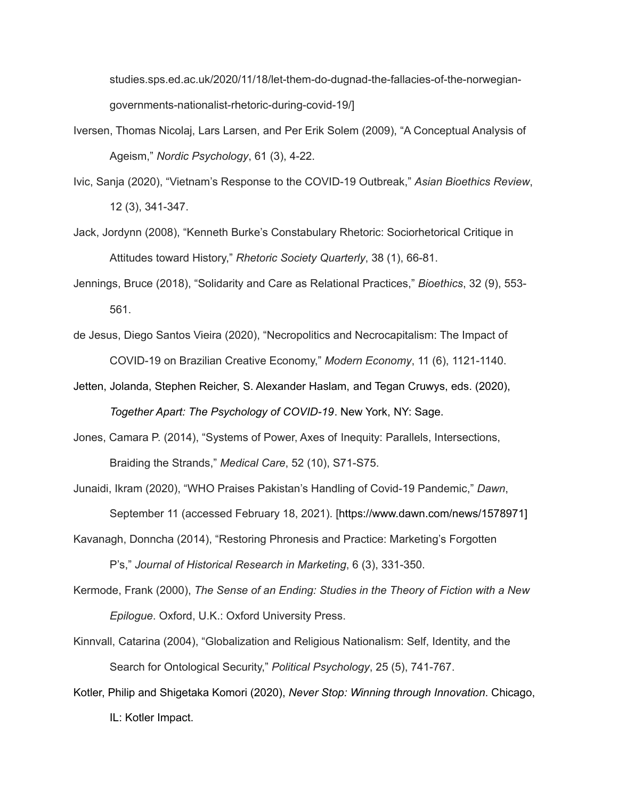studies.sps.ed.ac.uk/2020/11/18/let-them-do-dugnad-the-fallacies-of-the-norwegiangovernments-nationalist-rhetoric-during-covid-19/]

- Iversen, Thomas Nicolaj, Lars Larsen, and Per Erik Solem (2009), "A Conceptual Analysis of Ageism," *Nordic Psychology*, 61 (3), 4-22.
- Ivic, Sanja (2020), "Vietnam's Response to the COVID-19 Outbreak," *Asian Bioethics Review*, 12 (3), 341-347.
- Jack, Jordynn (2008), "Kenneth Burke's Constabulary Rhetoric: Sociorhetorical Critique in Attitudes toward History," *Rhetoric Society Quarterly*, 38 (1), 66-81.
- Jennings, Bruce (2018), "Solidarity and Care as Relational Practices," *Bioethics*, 32 (9), 553- 561.
- de Jesus, Diego Santos Vieira (2020), "Necropolitics and Necrocapitalism: The Impact of COVID-19 on Brazilian Creative Economy," *Modern Economy*, 11 (6), 1121-1140.
- Jetten, Jolanda, Stephen Reicher, S. Alexander Haslam, and Tegan Cruwys, eds. (2020), *Together Apart: The Psychology of COVID-19*. New York, NY: Sage.
- Jones, Camara P. (2014), "Systems of Power, Axes of Inequity: Parallels, Intersections, Braiding the Strands," *Medical Care*, 52 (10), S71-S75.

Junaidi, Ikram (2020), "WHO Praises Pakistan's Handling of Covid-19 Pandemic," *Dawn*, September 11 (accessed February 18, 2021). [https://[www.dawn.com/news/1578971\]](http://www.dawn.com/news/1578971)

Kavanagh, Donncha (2014), "Restoring Phronesis and Practice: Marketing's Forgotten

P's," *Journal of Historical Research in Marketing*, 6 (3), 331-350.

- Kermode, Frank (2000), *The Sense of an Ending: Studies in the Theory of Fiction with a New Epilogue*. Oxford, U.K.: Oxford University Press.
- Kinnvall, Catarina (2004), "Globalization and Religious Nationalism: Self, Identity, and the Search for Ontological Security," *Political Psychology*, 25 (5), 741-767.
- Kotler, Philip and Shigetaka Komori (2020), *Never Stop: Winning through Innovation*. Chicago, IL: Kotler Impact.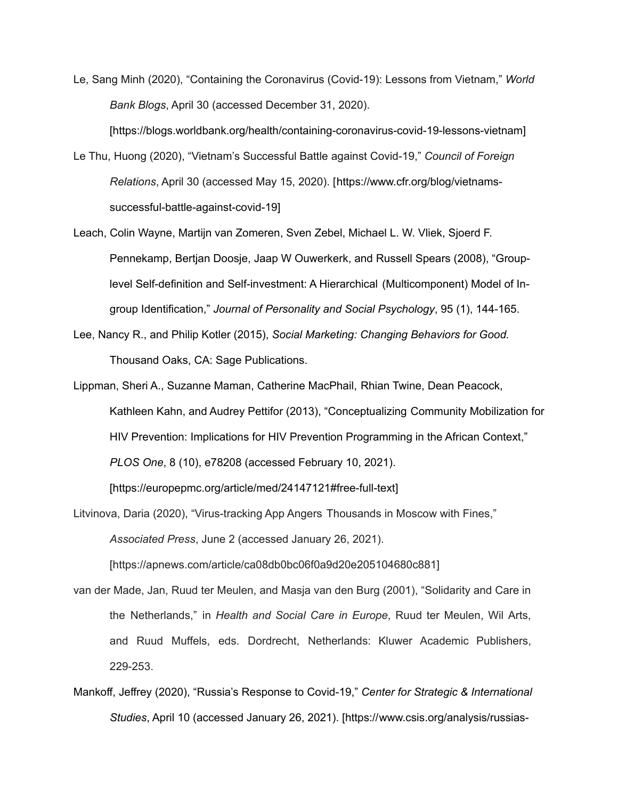Le, Sang Minh (2020), "Containing the Coronavirus (Covid-19): Lessons from Vietnam," *World Bank Blogs*, April 30 (accessed December 31, 2020).

[https://blogs.worldbank.org/health/containing-coronavirus-covid-19-lessons-vietnam]

- Le Thu, Huong (2020), "Vietnam's Successful Battle against Covid-19," *Council of Foreign Relations*, April 30 (accessed May 15, 2020). [https://[www.cfr.org/blog/vietnams](http://www.cfr.org/blog/vietnams-)successful-battle-against-covid-19]
- Leach, Colin Wayne, Martijn van Zomeren, Sven Zebel, Michael L. W. Vliek, Sjoerd F. Pennekamp, Bertjan Doosje, Jaap W Ouwerkerk, and Russell Spears (2008), "Grouplevel Self-definition and Self-investment: A Hierarchical (Multicomponent) Model of Ingroup Identification," *Journal of Personality and Social Psychology*, 95 (1), 144-165.
- Lee, Nancy R., and Philip Kotler (2015), *Social Marketing: Changing Behaviors for Good.* Thousand Oaks, CA: Sage Publications.
- Lippman, Sheri A., Suzanne Maman, Catherine MacPhail, Rhian Twine, Dean Peacock, Kathleen Kahn, and Audrey Pettifor (2013), "Conceptualizing Community Mobilization for HIV Prevention: Implications for HIV Prevention Programming in the African Context," *PLOS One*, 8 (10), e78208 (accessed February 10, 2021).

[https://europepmc.org/article/med/24147121#free-full-text]

Litvinova, Daria (2020), "Virus-tracking App Angers Thousands in Moscow with Fines," *Associated Press*, June 2 (accessed January 26, 2021).

[https://apnews.com/article/ca08db0bc06f0a9d20e205104680c881]

- van der Made, Jan, Ruud ter Meulen, and Masja van den Burg (2001), "Solidarity and Care in the Netherlands," in *Health and Social Care in Europe*, Ruud ter Meulen, Wil Arts, and Ruud Muffels, eds. Dordrecht, Netherlands: Kluwer Academic Publishers, 229-253.
- Mankoff, Jeffrey (2020), "Russia's Response to Covid-19," *Center for Strategic & International Studies*, April 10 (accessed January 26, 2021). [https://[www.csis.org/analysis/russias-](http://www.csis.org/analysis/russias-)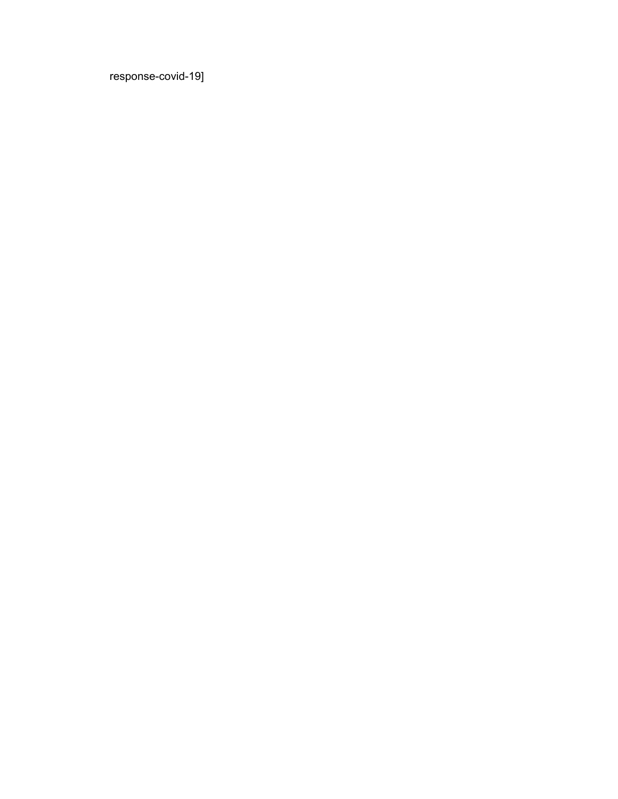response-covid-19]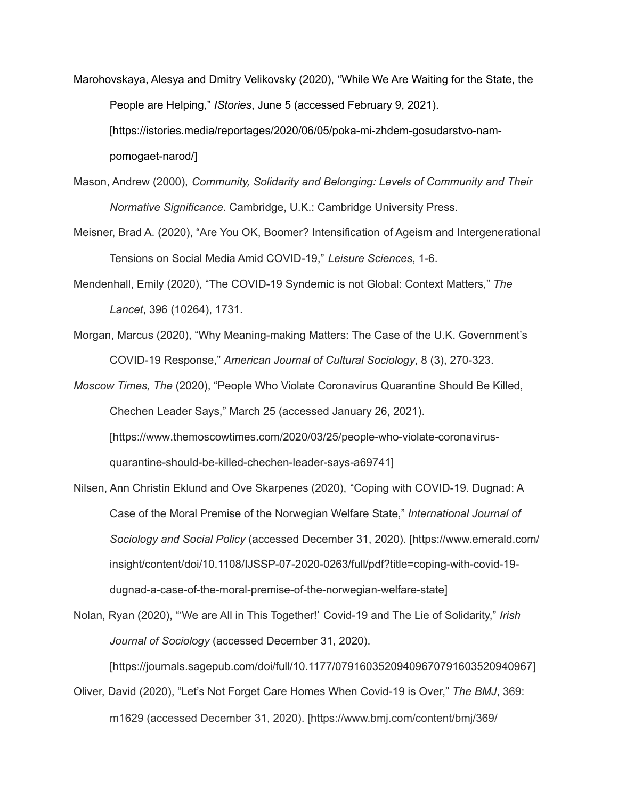Marohovskaya, Alesya and Dmitry Velikovsky (2020), "While We Are Waiting for the State, the People are Helping," *IStories*, June 5 (accessed February 9, 2021). [https://istories.media/reportages/2020/06/05/poka-mi-zhdem-gosudarstvo-nampomogaet-narod/]

- Mason, Andrew (2000), *Community, Solidarity and Belonging: Levels of Community and Their Normative Significance*. Cambridge, U.K.: Cambridge University Press.
- Meisner, Brad A. (2020), "Are You OK, Boomer? Intensification of Ageism and Intergenerational Tensions on Social Media Amid COVID-19," *Leisure Sciences*, 1-6.
- Mendenhall, Emily (2020), "The COVID-19 Syndemic is not Global: Context Matters," *The Lancet*, 396 (10264), 1731.
- Morgan, Marcus (2020), "Why Meaning-making Matters: The Case of the U.K. Government's COVID-19 Response," *American Journal of Cultural Sociology*, 8 (3), 270-323.

*Moscow Times, The* (2020), "People Who Violate Coronavirus Quarantine Should Be Killed, Chechen Leader Says," March 25 (accessed January 26, 2021). [https[://ww](http://www.themoscowtimes.com/2020/03/25/people-who-violate-coronavirus-)w[.themoscowtimes.com/2020/03/25/people-who-violate-coronavirus](http://www.themoscowtimes.com/2020/03/25/people-who-violate-coronavirus-)quarantine-should-be-killed-chechen-leader-says-a69741]

Nilsen, Ann Christin Eklund and Ove Skarpenes (2020), "Coping with COVID-19. Dugnad: A Case of the Moral Premise of the Norwegian Welfare State," *International Journal of Sociology and Social Policy* (accessed December 31, 2020). [https://[www.emerald.com/](http://www.emerald.com/) insight/content/doi/10.1108/IJSSP-07-2020-0263/full/pdf?title=coping-with-covid-19 dugnad-a-case-of-the-moral-premise-of-the-norwegian-welfare-state]

Nolan, Ryan (2020), "'We are All in This Together!' Covid-19 and The Lie of Solidarity," *Irish Journal of Sociology* (accessed December 31, 2020). [https://journals.sagepub.com/doi/full/10.1177/07916035209409670791603520940967]

Oliver, David (2020), "Let's Not Forget Care Homes When Covid-19 is Over," *The BMJ*, 369: m1629 (accessed December 31, 2020). [https://[www.bmj.com/content/bmj/369/](http://www.bmj.com/content/bmj/369/)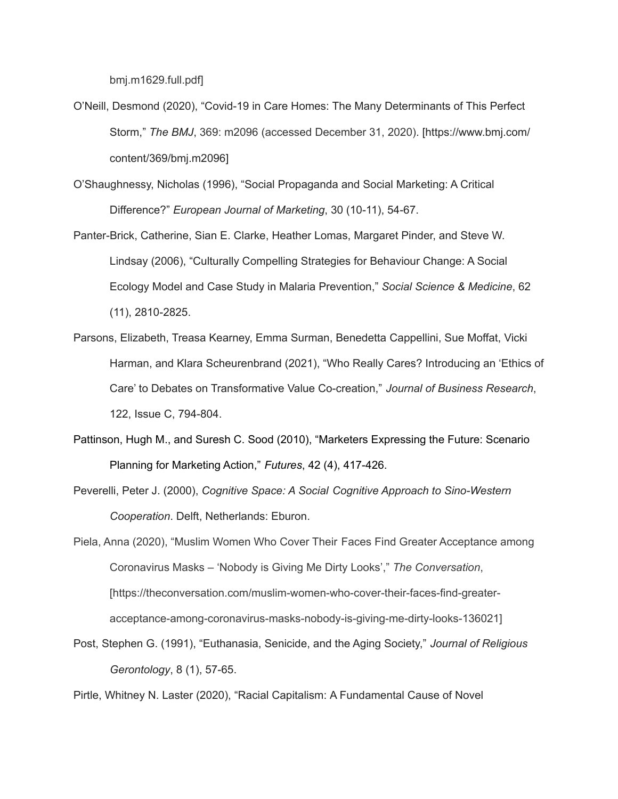bmj.m1629.full.pdf]

O'Neill, Desmond (2020), "Covid-19 in Care Homes: The Many Determinants of This Perfect Storm," *The BMJ*, 369: m2096 (accessed December 31, 2020). [https://[www.bmj.com/](http://www.bmj.com/) content/369/bmj.m2096]

O'Shaughnessy, Nicholas (1996), "Social Propaganda and Social Marketing: A Critical Difference?" *European Journal of Marketing*, 30 (10-11), 54-67.

Panter-Brick, Catherine, Sian E. Clarke, Heather Lomas, Margaret Pinder, and Steve W. Lindsay (2006), "Culturally Compelling Strategies for Behaviour Change: A Social Ecology Model and Case Study in Malaria Prevention," *Social Science & Medicine*, 62 (11), 2810-2825.

Parsons, Elizabeth, Treasa Kearney, Emma Surman, Benedetta Cappellini, Sue Moffat, Vicki Harman, and Klara Scheurenbrand (2021), "Who Really Cares? Introducing an 'Ethics of Care' to Debates on Transformative Value Co-creation," *Journal of Business Research*, 122, Issue C, 794-804.

- Pattinson, Hugh M., and Suresh C. Sood (2010), "Marketers Expressing the Future: Scenario Planning for Marketing Action," *Futures*, 42 (4), 417-426.
- Peverelli, Peter J. (2000), *Cognitive Space: A Social Cognitive Approach to Sino-Western Cooperation*. Delft, Netherlands: Eburon.

Piela, Anna (2020), "Muslim Women Who Cover Their Faces Find Greater Acceptance among Coronavirus Masks – 'Nobody is Giving Me Dirty Looks'," *The Conversation*, [https://theconversation.com/muslim-women-who-cover-their-faces-find-greateracceptance-among-coronavirus-masks-nobody-is-giving-me-dirty-looks-136021]

Post, Stephen G. (1991), "Euthanasia, Senicide, and the Aging Society," *Journal of Religious Gerontology*, 8 (1), 57-65.

Pirtle, Whitney N. Laster (2020), "Racial Capitalism: A Fundamental Cause of Novel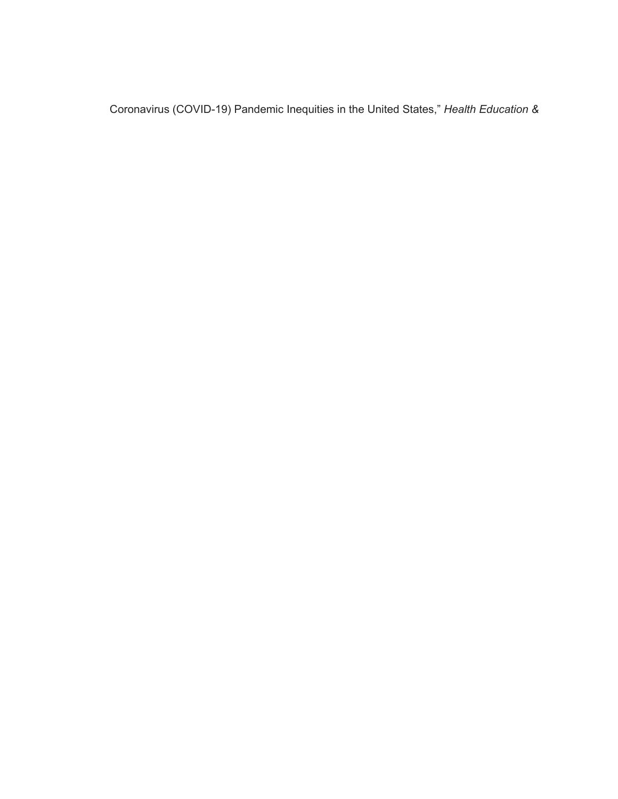Coronavirus (COVID-19) Pandemic Inequities in the United States," *Health Education &*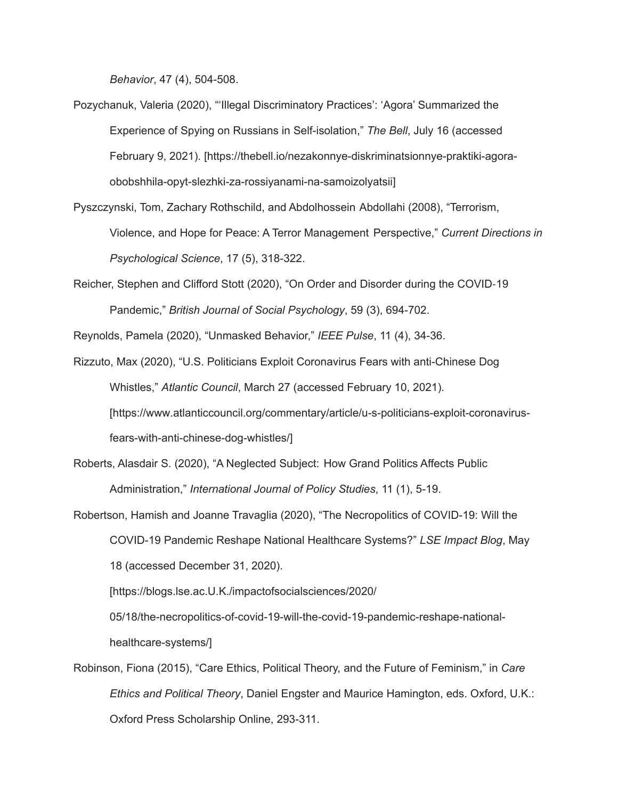*Behavior*, 47 (4), 504-508.

Pozychanuk, Valeria (2020), "'Illegal Discriminatory Practices': 'Agora' Summarized the Experience of Spying on Russians in Self-isolation," *The Bell*, July 16 (accessed February 9, 2021). [https://thebell.io/nezakonnye-diskriminatsionnye-praktiki-agoraobobshhila-opyt-slezhki-za-rossiyanami-na-samoizolyatsii]

Pyszczynski, Tom, Zachary Rothschild, and Abdolhossein Abdollahi (2008), "Terrorism, Violence, and Hope for Peace: A Terror Management Perspective," *Current Directions in Psychological Science*, 17 (5), 318-322.

Reicher, Stephen and Clifford Stott (2020), "On Order and Disorder during the COVID-19 Pandemic," *British Journal of Social Psychology*, 59 (3), 694-702.

Reynolds, Pamela (2020), "Unmasked Behavior," *IEEE Pulse*, 11 (4), 34-36.

Rizzuto, Max (2020), "U.S. Politicians Exploit Coronavirus Fears with anti-Chinese Dog Whistles," *Atlantic Council*, March 27 (accessed February 10, 2021). [https[://ww](http://www.atlanticcouncil.org/commentary/article/u-s-politicians-exploit-coronavirus-)w[.atlanticcouncil.org/commentary/article/u-s-politicians-exploit-coronavirus](http://www.atlanticcouncil.org/commentary/article/u-s-politicians-exploit-coronavirus-)fears-with-anti-chinese-dog-whistles/]

Roberts, Alasdair S. (2020), "A Neglected Subject: How Grand Politics Affects Public Administration," *International Journal of Policy Studies*, 11 (1), 5-19.

Robertson, Hamish and Joanne Travaglia (2020), "The Necropolitics of COVID-19: Will the COVID-19 Pandemic Reshape National Healthcare Systems?" *LSE Impact Blog*, May 18 (accessed December 31, 2020).

[https://blogs.lse.ac.U.K./impactofsocialsciences/2020/

05/18/the-necropolitics-of-covid-19-will-the-covid-19-pandemic-reshape-nationalhealthcare-systems/]

Robinson, Fiona (2015), "Care Ethics, Political Theory, and the Future of Feminism," in *Care Ethics and Political Theory*, Daniel Engster and Maurice Hamington, eds. Oxford, U.K.: Oxford Press Scholarship Online, 293-311.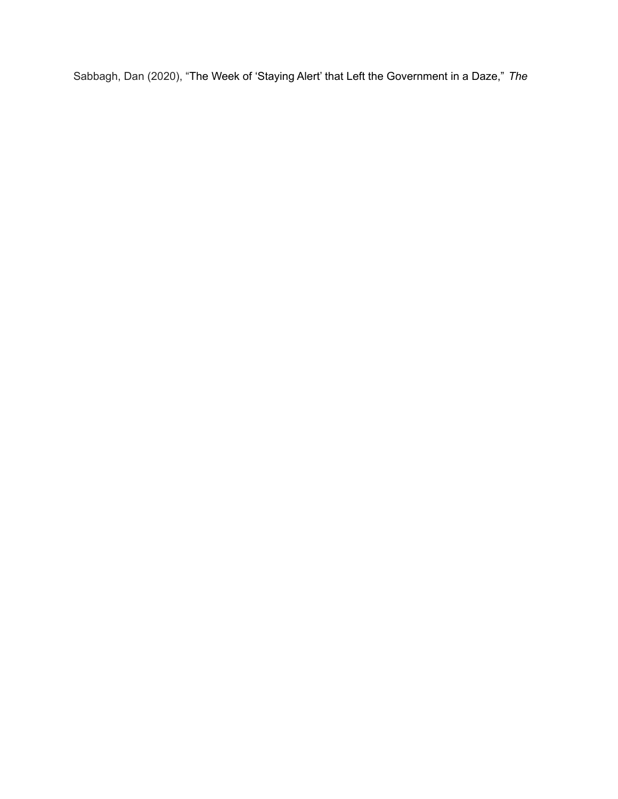Sabbagh, Dan (2020), "The Week of 'Staying Alert' that Left the Government in a Daze," *The*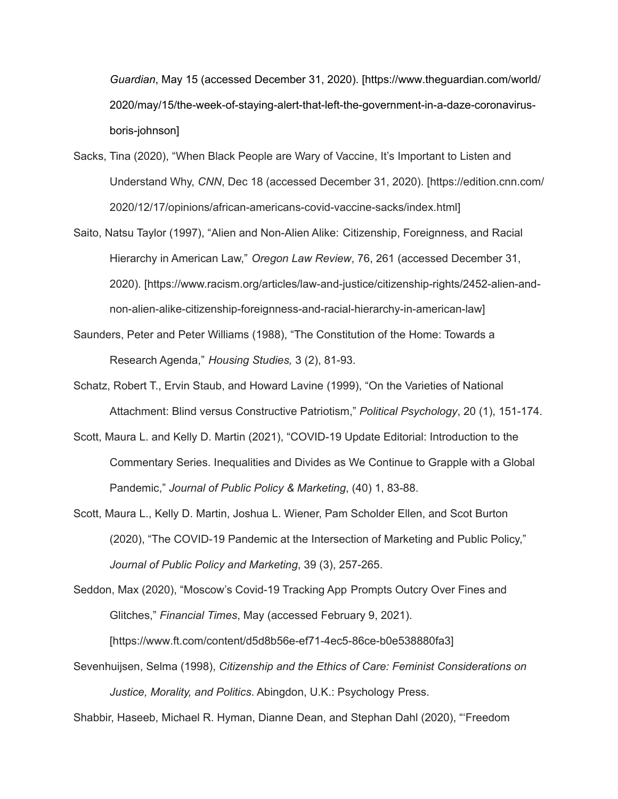*Guardian*, May 15 (accessed December 31, 2020). [https[://ww](http://www.theguardian.com/world/)w[.theguardian.com/world/](http://www.theguardian.com/world/) 2020/may/15/the-week-of-staying-alert-that-left-the-government-in-a-daze-coronavirusboris-johnson]

- Sacks, Tina (2020), "When Black People are Wary of Vaccine, It's Important to Listen and Understand Why, *CNN*, Dec 18 (accessed December 31, 2020). [https://edition.cnn.com/ 2020/12/17/opinions/african-americans-covid-vaccine-sacks/index.html]
- Saito, Natsu Taylor (1997), "Alien and Non-Alien Alike: Citizenship, Foreignness, and Racial Hierarchy in American Law," *Oregon Law Review*, 76, 261 (accessed December 31, 2020). [https:/[/www.racism.org/articles/law-and-justice/citizenship-rights/2452-alien-and](http://www.racism.org/articles/law-and-justice/citizenship-rights/2452-alien-and-)non-alien-alike-citizenship-foreignness-and-racial-hierarchy-in-american-law]
- Saunders, Peter and Peter Williams (1988), "The Constitution of the Home: Towards a Research Agenda," *Housing Studies,* 3 (2), 81-93.
- Schatz, Robert T., Ervin Staub, and Howard Lavine (1999), "On the Varieties of National Attachment: Blind versus Constructive Patriotism," *Political Psychology*, 20 (1), 151-174.
- Scott, Maura L. and Kelly D. Martin (2021), "COVID-19 Update Editorial: Introduction to the Commentary Series. Inequalities and Divides as We Continue to Grapple with a Global Pandemic," *Journal of Public Policy & Marketing*, (40) 1, 83-88.
- Scott, Maura L., Kelly D. Martin, Joshua L. Wiener, Pam Scholder Ellen, and Scot Burton (2020), "The COVID-19 Pandemic at the Intersection of Marketing and Public Policy," *Journal of Public Policy and Marketing*, 39 (3), 257-265.

Seddon, Max (2020), "Moscow's Covid-19 Tracking App Prompts Outcry Over Fines and Glitches," *Financial Times*, May (accessed February 9, 2021). [https[://ww](http://www.ft.com/content/d5d8b56e-ef71-4ec5-86ce-b0e538880fa3)w[.ft.com/content/d5d8b56e-ef71-4ec5-86ce-b0e538880fa3\]](http://www.ft.com/content/d5d8b56e-ef71-4ec5-86ce-b0e538880fa3)

Sevenhuijsen, Selma (1998), *Citizenship and the Ethics of Care: Feminist Considerations on Justice, Morality, and Politics*. Abingdon, U.K.: Psychology Press.

Shabbir, Haseeb, Michael R. Hyman, Dianne Dean, and Stephan Dahl (2020), "'Freedom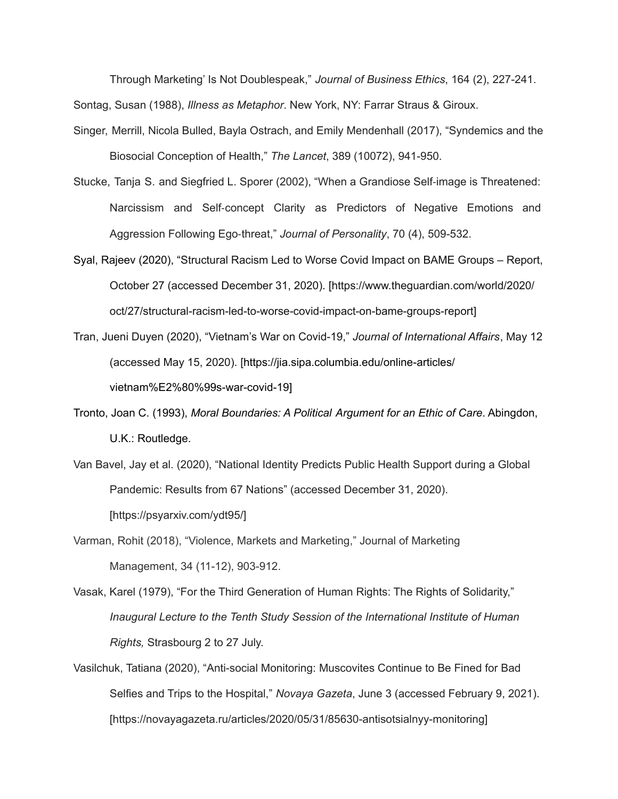Through Marketing' Is Not Doublespeak," *Journal of Business Ethics*, 164 (2), 227-241.

Sontag, Susan (1988), *Illness as Metaphor*. New York, NY: Farrar Straus & Giroux.

- Singer, Merrill, Nicola Bulled, Bayla Ostrach, and Emily Mendenhall (2017), "Syndemics and the Biosocial Conception of Health," *The Lancet*, 389 (10072), 941-950.
- Stucke, Tanja S. and Siegfried L. Sporer (2002), "When a Grandiose Self-image is Threatened: Narcissism and Self-concept Clarity as Predictors of Negative Emotions and Aggression Following Ego-threat," *Journal of Personality*, 70 (4), 509-532.
- Syal, Rajeev (2020), "Structural Racism Led to Worse Covid Impact on BAME Groups Report, October 27 (accessed December 31, 2020). [https://[www.theguardian.com/world/2020/](http://www.theguardian.com/world/2020/) oct/27/structural-racism-led-to-worse-covid-impact-on-bame-groups-report]
- Tran, Jueni Duyen (2020), "Vietnam's War on Covid-19," *Journal of International Affairs*, May 12 (accessed May 15, 2020). [https://jia.sipa.columbia.edu/online-articles/ vietnam%E2%80%99s-war-covid-19]
- Tronto, Joan C. (1993), *Moral Boundaries: A Political Argument for an Ethic of Care*. Abingdon, U.K.: Routledge.
- Van Bavel, Jay et al. (2020), "National Identity Predicts Public Health Support during a Global Pandemic: Results from 67 Nations" (accessed December 31, 2020). [https://psyarxiv.com/ydt95/]
- Varman, Rohit (2018), "Violence, Markets and Marketing," Journal of Marketing Management, 34 (11-12), 903-912.
- Vasak, Karel (1979), "For the Third Generation of Human Rights: The Rights of Solidarity," *Inaugural Lecture to the Tenth Study Session of the International Institute of Human Rights,* Strasbourg 2 to 27 July.
- Vasilchuk, Tatiana (2020), "Anti-social Monitoring: Muscovites Continue to Be Fined for Bad Selfies and Trips to the Hospital," *Novaya Gazeta*, June 3 (accessed February 9, 2021). [https://novayagazeta.ru/articles/2020/05/31/85630-antisotsialnyy-monitoring]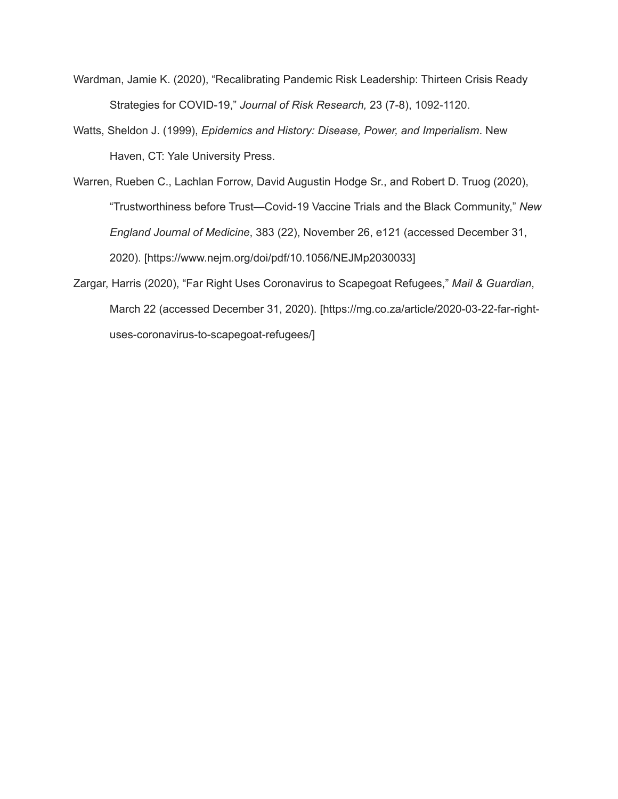- Wardman, Jamie K. (2020), "Recalibrating Pandemic Risk Leadership: Thirteen Crisis Ready Strategies for COVID-19," *Journal of Risk Research,* 23 (7-8), 1092-1120.
- Watts, Sheldon J. (1999), *Epidemics and History: Disease, Power, and Imperialism*. New Haven, CT: Yale University Press.
- Warren, Rueben C., Lachlan Forrow, David Augustin Hodge Sr., and Robert D. Truog (2020), "Trustworthiness before Trust—Covid-19 Vaccine Trials and the Black Community," *New England Journal of Medicine*, 383 (22), November 26, e121 (accessed December 31, 2020). [https:/[/www.nejm.org/doi/pdf/10.1056/NEJMp2030033\]](http://www.nejm.org/doi/pdf/10.1056/NEJMp2030033)
- Zargar, Harris (2020), "Far Right Uses Coronavirus to Scapegoat Refugees," *Mail & Guardian*, March 22 (accessed December 31, 2020). [https://mg.co.za/article/2020-03-22-far-rightuses-coronavirus-to-scapegoat-refugees/]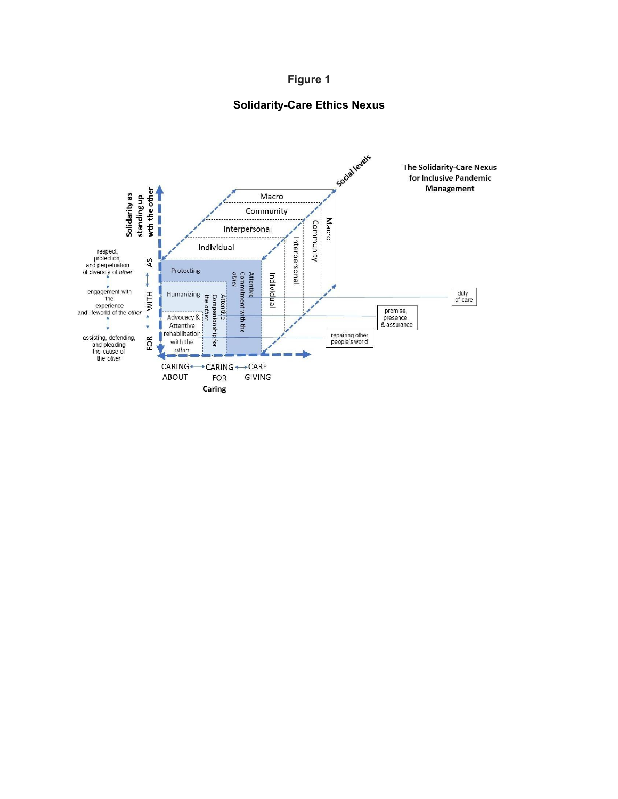

## **Solidarity-Care Ethics Nexus**